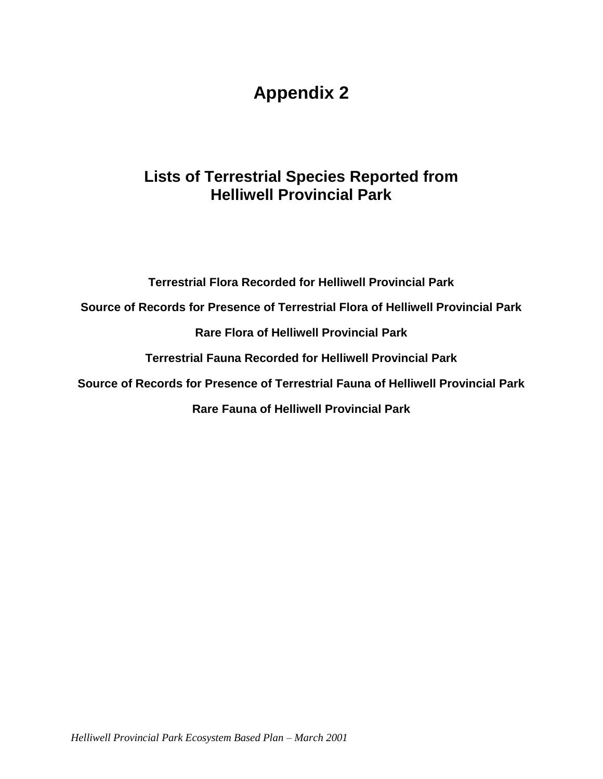# **Appendix 2**

## **Lists of Terrestrial Species Reported from Helliwell Provincial Park**

**Terrestrial Flora Recorded for Helliwell Provincial Park**

**Source of Records for Presence of Terrestrial Flora of Helliwell Provincial Park**

**Rare Flora of Helliwell Provincial Park**

**Terrestrial Fauna Recorded for Helliwell Provincial Park**

**Source of Records for Presence of Terrestrial Fauna of Helliwell Provincial Park**

**Rare Fauna of Helliwell Provincial Park**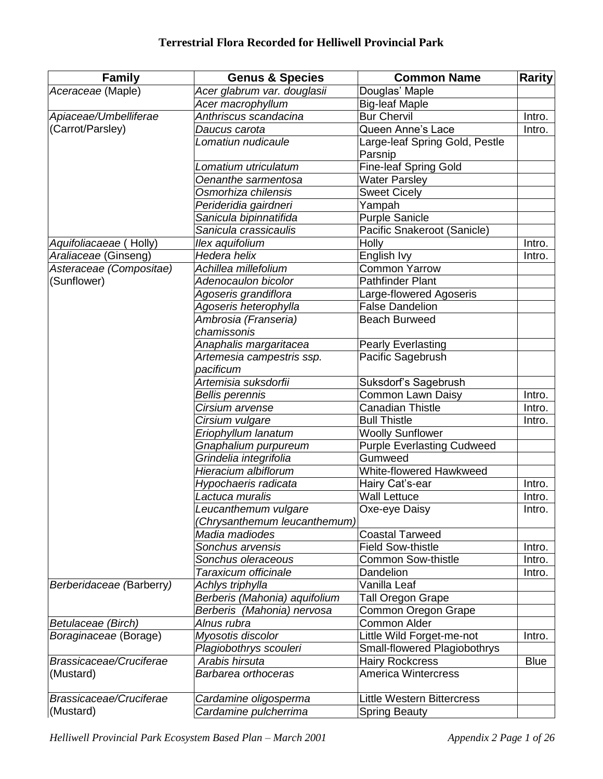| <b>Family</b>            | <b>Genus &amp; Species</b>    | <b>Common Name</b>                | <b>Rarity</b> |
|--------------------------|-------------------------------|-----------------------------------|---------------|
| Aceraceae (Maple)        | Acer glabrum var. douglasii   | Douglas' Maple                    |               |
|                          | Acer macrophyllum             | <b>Big-leaf Maple</b>             |               |
| Apiaceae/Umbelliferae    | Anthriscus scandacina         | <b>Bur Chervil</b>                | Intro.        |
| (Carrot/Parsley)         | Daucus carota                 | Queen Anne's Lace                 | Intro.        |
|                          | Lomatiun nudicaule            | Large-leaf Spring Gold, Pestle    |               |
|                          |                               | Parsnip                           |               |
|                          | Lomatium utriculatum          | <b>Fine-leaf Spring Gold</b>      |               |
|                          | Oenanthe sarmentosa           | <b>Water Parsley</b>              |               |
|                          | Osmorhiza chilensis           | <b>Sweet Cicely</b>               |               |
|                          | Perideridia gairdneri         | Yampah                            |               |
|                          | Sanicula bipinnatifida        | <b>Purple Sanicle</b>             |               |
|                          | Sanicula crassicaulis         | Pacific Snakeroot (Sanicle)       |               |
| Aquifoliacaeae (Holly)   | llex aquifolium               | Holly                             | Intro.        |
| Araliaceae (Ginseng)     | Hedera helix                  | English Ivy                       | Intro.        |
| Asteraceae (Compositae)  | Achillea millefolium          | <b>Common Yarrow</b>              |               |
| (Sunflower)              | Adenocaulon bicolor           | <b>Pathfinder Plant</b>           |               |
|                          | Agoseris grandiflora          | Large-flowered Agoseris           |               |
|                          | Agoseris heterophylla         | <b>False Dandelion</b>            |               |
|                          | Ambrosia (Franseria)          | <b>Beach Burweed</b>              |               |
|                          | chamissonis                   |                                   |               |
|                          | Anaphalis margaritacea        | <b>Pearly Everlasting</b>         |               |
|                          | Artemesia campestris ssp.     | Pacific Sagebrush                 |               |
|                          | pacificum                     |                                   |               |
|                          | Artemisia suksdorfii          | Suksdorf's Sagebrush              |               |
|                          | <b>Bellis perennis</b>        | Common Lawn Daisy                 | Intro.        |
|                          | Cirsium arvense               | <b>Canadian Thistle</b>           | Intro.        |
|                          | Cirsium vulgare               | <b>Bull Thistle</b>               | Intro.        |
|                          | Eriophyllum lanatum           | <b>Woolly Sunflower</b>           |               |
|                          | Gnaphalium purpureum          | <b>Purple Everlasting Cudweed</b> |               |
|                          | Grindelia integrifolia        | Gumweed                           |               |
|                          | Hieracium albiflorum          | White-flowered Hawkweed           |               |
|                          | Hypochaeris radicata          | Hairy Cat's-ear                   | Intro.        |
|                          | Lactuca muralis               | <b>Wall Lettuce</b>               | Intro.        |
|                          | Leucanthemum vulgare          | Oxe-eye Daisy                     | Intro.        |
|                          | (Chrysanthemum leucanthemum)  |                                   |               |
|                          | Madia madiodes                | <b>Coastal Tarweed</b>            |               |
|                          | Sonchus arvensis              | <b>Field Sow-thistle</b>          | Intro.        |
|                          | Sonchus oleraceous            | Common Sow-thistle                | Intro.        |
|                          | Taraxicum officinale          | Dandelion                         | Intro.        |
| Berberidaceae (Barberry) | Achlys triphylla              | Vanilla Leaf                      |               |
|                          | Berberis (Mahonia) aquifolium | Tall Oregon Grape                 |               |
|                          | Berberis (Mahonia) nervosa    | Common Oregon Grape               |               |
| Betulaceae (Birch)       | Alnus rubra                   | <b>Common Alder</b>               |               |
| Boraginaceae (Borage)    | Myosotis discolor             | Little Wild Forget-me-not         | Intro.        |
|                          | Plagiobothrys scouleri        | Small-flowered Plagiobothrys      |               |
| Brassicaceae/Cruciferae  | Arabis hirsuta                | <b>Hairy Rockcress</b>            | <b>Blue</b>   |
| (Mustard)                | Barbarea orthoceras           | <b>America Wintercress</b>        |               |
|                          |                               |                                   |               |
| Brassicaceae/Cruciferae  | Cardamine oligosperma         | <b>Little Western Bittercress</b> |               |
| (Mustard)                | Cardamine pulcherrima         | <b>Spring Beauty</b>              |               |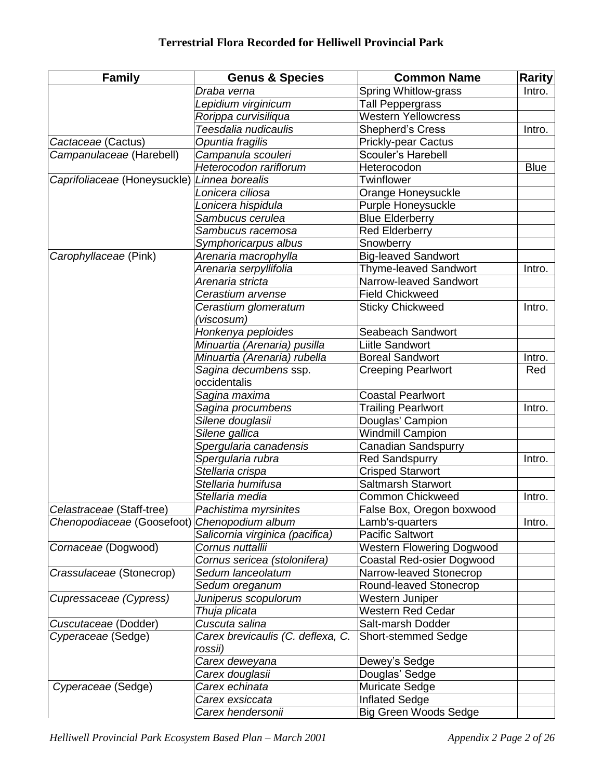| <b>Family</b>                | <b>Genus &amp; Species</b>        | <b>Common Name</b>               | <b>Rarity</b> |
|------------------------------|-----------------------------------|----------------------------------|---------------|
|                              | Draba verna                       | Spring Whitlow-grass             | Intro.        |
|                              | Lepidium virginicum               | Tall Peppergrass                 |               |
|                              | Rorippa curvisiliqua              | <b>Western Yellowcress</b>       |               |
|                              | Teesdalia nudicaulis              | <b>Shepherd's Cress</b>          | Intro.        |
| Cactaceae (Cactus)           | Opuntia fragilis                  | <b>Prickly-pear Cactus</b>       |               |
| Campanulaceae (Harebell)     | Campanula scouleri                | Scouler's Harebell               |               |
|                              | Heterocodon rariflorum            | Heterocodon                      | <b>Blue</b>   |
| Caprifoliaceae (Honeysuckle) | Linnea borealis                   | Twinflower                       |               |
|                              | Lonicera ciliosa                  | Orange Honeysuckle               |               |
|                              | Lonicera hispidula                | Purple Honeysuckle               |               |
|                              | Sambucus cerulea                  | <b>Blue Elderberry</b>           |               |
|                              | Sambucus racemosa                 | <b>Red Elderberry</b>            |               |
|                              | Symphoricarpus albus              | Snowberry                        |               |
| Carophyllaceae (Pink)        | Arenaria macrophylla              | Big-leaved Sandwort              |               |
|                              | Arenaria serpyllifolia            | Thyme-leaved Sandwort            | Intro.        |
|                              | Arenaria stricta                  | Narrow-leaved Sandwort           |               |
|                              | Cerastium arvense                 | <b>Field Chickweed</b>           |               |
|                              | Cerastium glomeratum              | <b>Sticky Chickweed</b>          | Intro.        |
|                              | (viscosum)                        |                                  |               |
|                              | Honkenya peploides                | Seabeach Sandwort                |               |
|                              | Minuartia (Arenaria) pusilla      | Liitle Sandwort                  |               |
|                              | Minuartia (Arenaria) rubella      | <b>Boreal Sandwort</b>           | Intro.        |
|                              | Sagina decumbens ssp.             | <b>Creeping Pearlwort</b>        | Red           |
|                              | occidentalis                      |                                  |               |
|                              | Sagina maxima                     | <b>Coastal Pearlwort</b>         |               |
|                              | Sagina procumbens                 | <b>Trailing Pearlwort</b>        | Intro.        |
|                              | Silene douglasii                  | Douglas' Campion                 |               |
|                              | Silene gallica                    | <b>Windmill Campion</b>          |               |
|                              | Spergularia canadensis            | Canadian Sandspurry              |               |
|                              | Spergularia rubra                 | <b>Red Sandspurry</b>            | Intro.        |
|                              | Stellaria crispa                  | <b>Crisped Starwort</b>          |               |
|                              | Stellaria humifusa                | <b>Saltmarsh Starwort</b>        |               |
|                              | Stellaria media                   | <b>Common Chickweed</b>          | Intro.        |
| Celastraceae (Staff-tree)    | Pachistima myrsinites             | False Box, Oregon boxwood        |               |
| Chenopodiaceae (Goosefoot)   | Chenopodium album                 | Lamb's-quarters                  | Intro.        |
|                              | Salicornia virginica (pacifica)   | <b>Pacific Saltwort</b>          |               |
| Cornaceae (Dogwood)          | Cornus nuttallii                  | <b>Western Flowering Dogwood</b> |               |
|                              | Cornus sericea (stolonifera)      | Coastal Red-osier Dogwood        |               |
| Crassulaceae (Stonecrop)     | Sedum lanceolatum                 | Narrow-leaved Stonecrop          |               |
|                              | Sedum oreganum                    | Round-leaved Stonecrop           |               |
| Cupressaceae (Cypress)       | Juniperus scopulorum              | Western Juniper                  |               |
|                              | Thuja plicata                     | Western Red Cedar                |               |
| Cuscutaceae (Dodder)         | Cuscuta salina                    | Salt-marsh Dodder                |               |
| Cyperaceae (Sedge)           | Carex brevicaulis (C. deflexa, C. | <b>Short-stemmed Sedge</b>       |               |
|                              | rossii)                           |                                  |               |
|                              | Carex deweyana                    | Dewey's Sedge                    |               |
|                              | Carex douglasii                   | Douglas' Sedge                   |               |
| Cyperaceae (Sedge)           | Carex echinata                    | <b>Muricate Sedge</b>            |               |
|                              | Carex exsiccata                   | <b>Inflated Sedge</b>            |               |
|                              | Carex hendersonii                 | <b>Big Green Woods Sedge</b>     |               |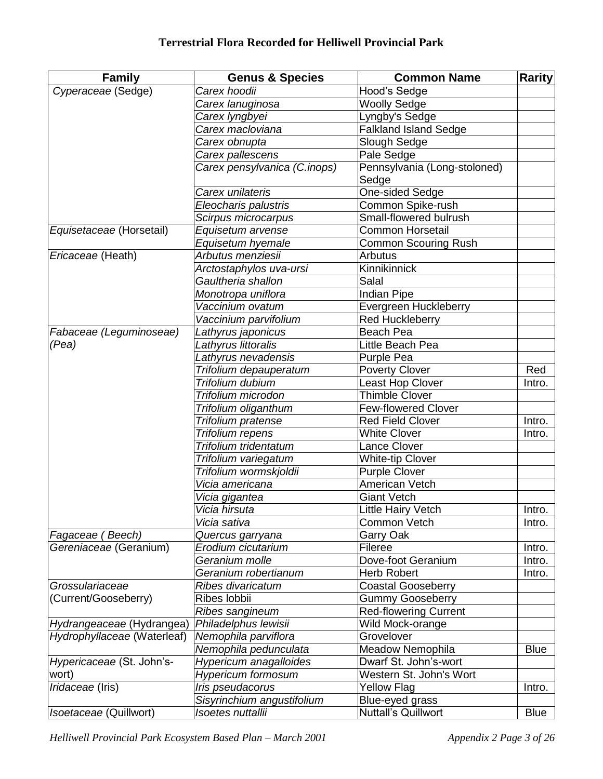| <b>Family</b>               | <b>Genus &amp; Species</b>   | <b>Common Name</b>                        | <b>Rarity</b> |
|-----------------------------|------------------------------|-------------------------------------------|---------------|
| Cyperaceae (Sedge)          | Carex hoodii                 | Hood's Sedge                              |               |
|                             | Carex lanuginosa             | <b>Woolly Sedge</b>                       |               |
|                             | Carex lyngbyei               | Lyngby's Sedge                            |               |
|                             | Carex macloviana             | <b>Falkland Island Sedge</b>              |               |
|                             | Carex obnupta                | Slough Sedge                              |               |
|                             | Carex pallescens             | Pale Sedge                                |               |
|                             | Carex pensylvanica (C.inops) | Pennsylvania (Long-stoloned)              |               |
|                             |                              | Sedge                                     |               |
|                             | Carex unilateris             | <b>One-sided Sedge</b>                    |               |
|                             | Eleocharis palustris         | Common Spike-rush                         |               |
|                             | Scirpus microcarpus          | Small-flowered bulrush                    |               |
| Equisetaceae (Horsetail)    | Equisetum arvense            | <b>Common Horsetail</b>                   |               |
|                             | Equisetum hyemale            | <b>Common Scouring Rush</b>               |               |
| Ericaceae (Heath)           | Arbutus menziesii            | <b>Arbutus</b>                            |               |
|                             | Arctostaphylos uva-ursi      | Kinnikinnick                              |               |
|                             | Gaultheria shallon           | Salal                                     |               |
|                             | Monotropa uniflora           | <b>Indian Pipe</b>                        |               |
|                             | Vaccinium ovatum             | Evergreen Huckleberry                     |               |
|                             | Vaccinium parvifolium        | <b>Red Huckleberry</b>                    |               |
| Fabaceae (Leguminoseae)     | Lathyrus japonicus           | Beach Pea                                 |               |
| (Pea)                       | Lathyrus littoralis          | Little Beach Pea                          |               |
|                             | Lathyrus nevadensis          | Purple Pea                                |               |
|                             | Trifolium depauperatum       | <b>Poverty Clover</b>                     | Red           |
|                             | Trifolium dubium             |                                           |               |
|                             |                              | Least Hop Clover<br><b>Thimble Clover</b> | Intro.        |
|                             | Trifolium microdon           |                                           |               |
|                             | Trifolium oliganthum         | <b>Few-flowered Clover</b>                |               |
|                             | Trifolium pratense           | <b>Red Field Clover</b>                   | Intro.        |
|                             | Trifolium repens             | <b>White Clover</b>                       | Intro.        |
|                             | Trifolium tridentatum        | Lance Clover                              |               |
|                             | Trifolium variegatum         | <b>White-tip Clover</b>                   |               |
|                             | Trifolium wormskjoldii       | <b>Purple Clover</b>                      |               |
|                             | Vicia americana              | American Vetch                            |               |
|                             | Vicia gigantea               | <b>Giant Vetch</b>                        |               |
|                             | Vicia hirsuta                | Little Hairy Vetch                        | Intro.        |
|                             | Vicia sativa                 | Common Vetch                              | Intro.        |
| Fagaceae (Beech)            | Quercus garryana             | Garry Oak                                 |               |
| Gereniaceae (Geranium)      | Erodium cicutarium           | Fileree                                   | Intro.        |
|                             | Geranium molle               | Dove-foot Geranium                        | Intro.        |
|                             | Geranium robertianum         | <b>Herb Robert</b>                        | Intro.        |
| Grossulariaceae             | Ribes divaricatum            | <b>Coastal Gooseberry</b>                 |               |
| (Current/Gooseberry)        | Ribes lobbii                 | <b>Gummy Gooseberry</b>                   |               |
|                             | Ribes sangineum              | <b>Red-flowering Current</b>              |               |
| Hydrangeaceae (Hydrangea)   | Philadelphus lewisii         | Wild Mock-orange                          |               |
| Hydrophyllaceae (Waterleaf) | Nemophila parviflora         | Grovelover                                |               |
|                             | Nemophila pedunculata        | Meadow Nemophila                          | <b>Blue</b>   |
| Hypericaceae (St. John's-   | Hypericum anagalloides       | Dwarf St. John's-wort                     |               |
| wort)                       | <b>Hypericum formosum</b>    | Western St. John's Wort                   |               |
| Iridaceae (Iris)            | Iris pseudacorus             | <b>Yellow Flag</b>                        | Intro.        |
|                             | Sisyrinchium angustifolium   | Blue-eyed grass                           |               |
| Isoetaceae (Quillwort)      | Isoetes nuttallii            | <b>Nuttall's Quillwort</b>                | <b>Blue</b>   |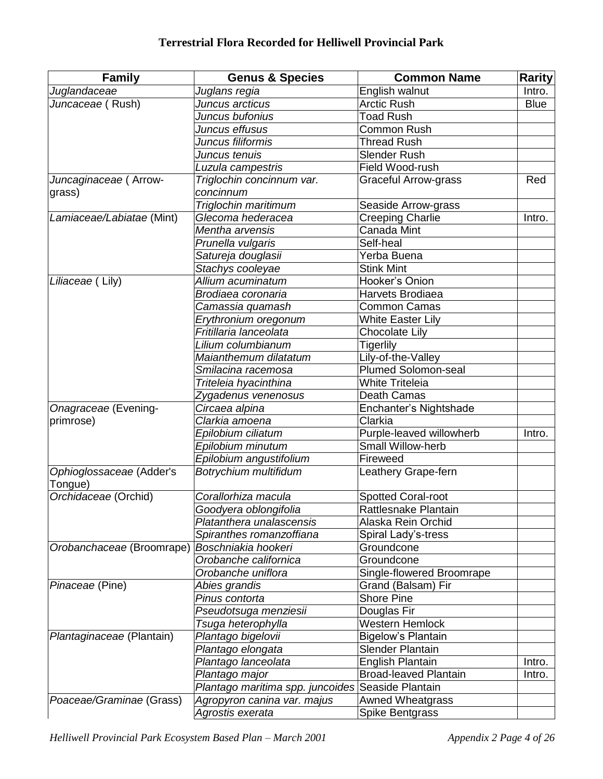#### **Terrestrial Flora Recorded for Helliwell Provincial Park**

| <b>Family</b>             | <b>Genus &amp; Species</b>       | <b>Common Name</b>           | <b>Rarity</b> |
|---------------------------|----------------------------------|------------------------------|---------------|
| Juglandaceae              | Juglans regia                    | English walnut               | Intro.        |
| Juncaceae (Rush)          | Juncus arcticus                  | <b>Arctic Rush</b>           | <b>Blue</b>   |
|                           | Juncus bufonius                  | <b>Toad Rush</b>             |               |
|                           | Juncus effusus                   | <b>Common Rush</b>           |               |
|                           | Juncus filiformis                | <b>Thread Rush</b>           |               |
|                           | Juncus tenuis                    | Slender Rush                 |               |
|                           | Luzula campestris                | Field Wood-rush              |               |
| Juncaginaceae (Arrow-     | Triglochin concinnum var.        | <b>Graceful Arrow-grass</b>  | Red           |
| grass)                    | concinnum                        |                              |               |
|                           | Triglochin maritimum             | Seaside Arrow-grass          |               |
| Lamiaceae/Labiatae (Mint) | Glecoma hederacea                | <b>Creeping Charlie</b>      | Intro.        |
|                           | Mentha arvensis                  | Canada Mint                  |               |
|                           | Prunella vulgaris                | Self-heal                    |               |
|                           | Satureja douglasii               | Yerba Buena                  |               |
|                           | Stachys cooleyae                 | <b>Stink Mint</b>            |               |
| Liliaceae (Lily)          | Allium acuminatum                | Hooker's Onion               |               |
|                           | Brodiaea coronaria               | Harvets Brodiaea             |               |
|                           | Camassia quamash                 | <b>Common Camas</b>          |               |
|                           | Erythronium oregonum             | <b>White Easter Lily</b>     |               |
|                           | Fritillaria lanceolata           | <b>Chocolate Lily</b>        |               |
|                           | Lilium columbianum               | <b>Tigerlily</b>             |               |
|                           | Maianthemum dilatatum            | Lily-of-the-Valley           |               |
|                           | Smilacina racemosa               | <b>Plumed Solomon-seal</b>   |               |
|                           | Triteleia hyacinthina            | <b>White Triteleia</b>       |               |
|                           | Zygadenus venenosus              | Death Camas                  |               |
| Onagraceae (Evening-      | Circaea alpina                   | Enchanter's Nightshade       |               |
| primrose)                 | Clarkia amoena                   | Clarkia                      |               |
|                           | Epilobium ciliatum               | Purple-leaved willowherb     | Intro.        |
|                           | Epilobium minutum                | Small Willow-herb            |               |
|                           | Epilobium angustifolium          | Fireweed                     |               |
| Ophioglossaceae (Adder's  | Botrychium multifidum            | Leathery Grape-fern          |               |
| Tongue)                   |                                  |                              |               |
| Orchidaceae (Orchid)      | Corallorhiza macula              | <b>Spotted Coral-root</b>    |               |
|                           | Goodyera oblongifolia            | Rattlesnake Plantain         |               |
|                           | Platanthera unalascensis         | Alaska Rein Orchid           |               |
|                           | Spiranthes romanzoffiana         | Spiral Lady's-tress          |               |
| Orobanchaceae (Broomrape) | Boschniakia hookeri              | Groundcone                   |               |
|                           | Orobanche californica            | Groundcone                   |               |
|                           | Orobanche uniflora               | Single-flowered Broomrape    |               |
| Pinaceae (Pine)           | Abies grandis                    | Grand (Balsam) Fir           |               |
|                           | Pinus contorta                   | <b>Shore Pine</b>            |               |
|                           | Pseudotsuga menziesii            | Douglas Fir                  |               |
|                           | Tsuga heterophylla               | Western Hemlock              |               |
| Plantaginaceae (Plantain) | Plantago bigelovii               | <b>Bigelow's Plantain</b>    |               |
|                           |                                  |                              |               |
|                           | Plantago elongata                | <b>Slender Plantain</b>      |               |
|                           | Plantago lanceolata              | <b>English Plantain</b>      | Intro.        |
|                           | Plantago major                   | <b>Broad-leaved Plantain</b> | Intro.        |
|                           | Plantago maritima spp. juncoides | Seaside Plantain             |               |
| Poaceae/Graminae (Grass)  | Agropyron canina var. majus      | <b>Awned Wheatgrass</b>      |               |
|                           | Agrostis exerata                 | Spike Bentgrass              |               |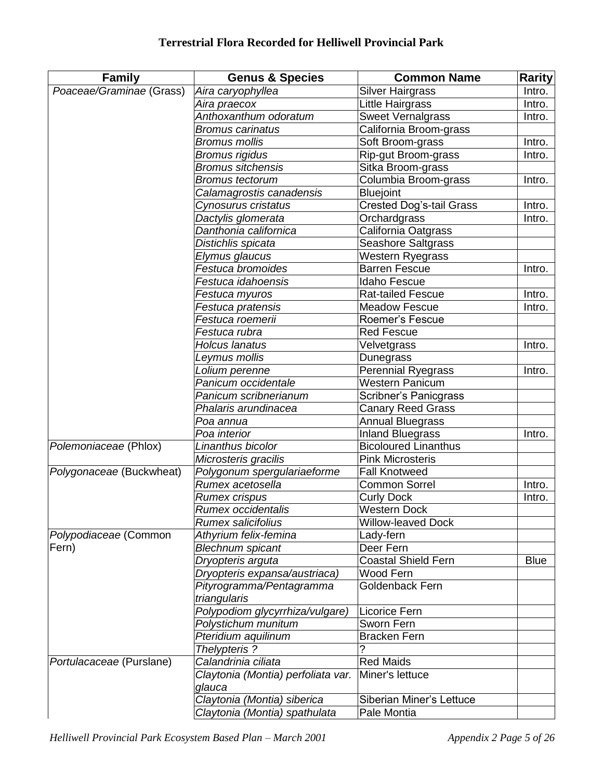| <b>Family</b>            | <b>Genus &amp; Species</b>                   | <b>Common Name</b>          | Rarity      |
|--------------------------|----------------------------------------------|-----------------------------|-------------|
| Poaceae/Graminae (Grass) | Aira caryophyllea                            | <b>Silver Hairgrass</b>     | Intro.      |
|                          | Aira praecox                                 | Little Hairgrass            | Intro.      |
|                          | Anthoxanthum odoratum                        | <b>Sweet Vernalgrass</b>    | Intro.      |
|                          | <b>Bromus carinatus</b>                      | California Broom-grass      |             |
|                          | <b>Bromus mollis</b>                         | Soft Broom-grass            | Intro.      |
|                          | <b>Bromus rigidus</b>                        | Rip-gut Broom-grass         | Intro.      |
|                          | <b>Bromus sitchensis</b>                     | Sitka Broom-grass           |             |
|                          | <b>Bromus tectorum</b>                       | Columbia Broom-grass        | Intro.      |
|                          | Calamagrostis canadensis                     | <b>Bluejoint</b>            |             |
|                          | Cynosurus cristatus                          | Crested Dog's-tail Grass    | Intro.      |
|                          | Dactylis glomerata                           | Orchardgrass                | Intro.      |
|                          | Danthonia californica                        | California Oatgrass         |             |
|                          | Distichlis spicata                           | Seashore Saltgrass          |             |
|                          | Elymus glaucus                               | <b>Western Ryegrass</b>     |             |
|                          | Festuca bromoides                            | <b>Barren Fescue</b>        | Intro.      |
|                          | Festuca idahoensis                           | <b>Idaho Fescue</b>         |             |
|                          | Festuca myuros                               | <b>Rat-tailed Fescue</b>    | Intro.      |
|                          | Festuca pratensis                            | <b>Meadow Fescue</b>        | Intro.      |
|                          | Festuca roemerii                             | Roemer's Fescue             |             |
|                          | Festuca rubra                                | <b>Red Fescue</b>           |             |
|                          | <b>Holcus lanatus</b>                        | Velvetgrass                 | Intro.      |
|                          | Leymus mollis                                | Dunegrass                   |             |
|                          | Lolium perenne                               | <b>Perennial Ryegrass</b>   | Intro.      |
|                          | Panicum occidentale                          | Western Panicum             |             |
|                          | Panicum scribnerianum                        | Scribner's Panicgrass       |             |
|                          | Phalaris arundinacea                         | <b>Canary Reed Grass</b>    |             |
|                          | Poa annua                                    | <b>Annual Bluegrass</b>     |             |
|                          | Poa interior                                 | <b>Inland Bluegrass</b>     | Intro.      |
| Polemoniaceae (Phlox)    | Linanthus bicolor                            | <b>Bicoloured Linanthus</b> |             |
|                          | Microsteris gracilis                         | <b>Pink Microsteris</b>     |             |
| Polygonaceae (Buckwheat) | Polygonum spergulariaeforme                  | <b>Fall Knotweed</b>        |             |
|                          | Rumex acetosella                             | <b>Common Sorrel</b>        | Intro.      |
|                          | <b>Rumex crispus</b>                         | <b>Curly Dock</b>           | Intro.      |
|                          | Rumex occidentalis                           | <b>Western Dock</b>         |             |
|                          | Rumex salicifolius                           | <b>Willow-leaved Dock</b>   |             |
| Polypodiaceae (Common    | Athyrium felix-femina                        | Lady-fern                   |             |
| Fern)                    | <b>Blechnum spicant</b>                      | Deer Fern                   |             |
|                          | Dryopteris arguta                            | <b>Coastal Shield Fern</b>  | <b>Blue</b> |
|                          | Dryopteris expansa/austriaca)                | Wood Fern                   |             |
|                          | Pityrogramma/Pentagramma                     | Goldenback Fern             |             |
|                          | triangularis                                 |                             |             |
|                          | Polypodiom glycyrrhiza/vulgare)              | Licorice Fern               |             |
|                          | Polystichum munitum                          | Sworn Fern                  |             |
|                          | Pteridium aquilinum                          | <b>Bracken Fern</b>         |             |
|                          | Thelypteris?                                 |                             |             |
| Portulacaceae (Purslane) | Calandrinia ciliata                          | <b>Red Maids</b>            |             |
|                          | Claytonia (Montia) perfoliata var.<br>glauca | Miner's lettuce             |             |
|                          | Claytonia (Montia) siberica                  | Siberian Miner's Lettuce    |             |
|                          | Claytonia (Montia) spathulata                | Pale Montia                 |             |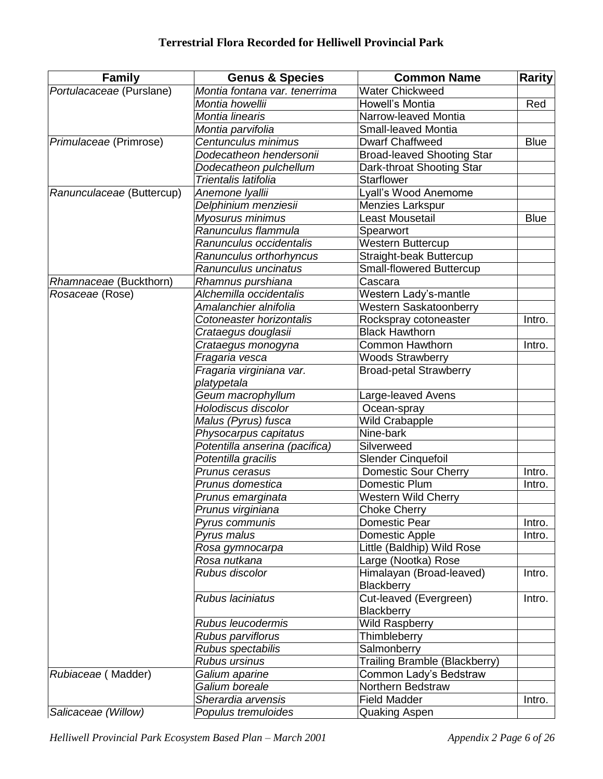| Family                    | <b>Genus &amp; Species</b>     | <b>Common Name</b>                | <b>Rarity</b> |
|---------------------------|--------------------------------|-----------------------------------|---------------|
| Portulacaceae (Purslane)  | Montia fontana var. tenerrima  | <b>Water Chickweed</b>            |               |
|                           | Montia howellii                | Howell's Montia                   | Red           |
|                           | Montia linearis                | Narrow-leaved Montia              |               |
|                           | Montia parvifolia              | <b>Small-leaved Montia</b>        |               |
| Primulaceae (Primrose)    | Centunculus minimus            | <b>Dwarf Chaffweed</b>            | <b>Blue</b>   |
|                           | Dodecatheon hendersonii        | <b>Broad-leaved Shooting Star</b> |               |
|                           | Dodecatheon pulchellum         | Dark-throat Shooting Star         |               |
|                           | Trientalis latifolia           | <b>Starflower</b>                 |               |
| Ranunculaceae (Buttercup) | Anemone Iyallii                | Lyall's Wood Anemome              |               |
|                           | Delphinium menziesii           | Menzies Larkspur                  |               |
|                           | Myosurus minimus               | Least Mousetail                   | <b>Blue</b>   |
|                           | Ranunculus flammula            | Spearwort                         |               |
|                           | Ranunculus occidentalis        | <b>Western Buttercup</b>          |               |
|                           | Ranunculus orthorhyncus        | Straight-beak Buttercup           |               |
|                           | Ranunculus uncinatus           | Small-flowered Buttercup          |               |
| Rhamnaceae (Buckthorn)    | Rhamnus purshiana              | Cascara                           |               |
| Rosaceae (Rose)           | Alchemilla occidentalis        | Western Lady's-mantle             |               |
|                           | Amalanchier alnifolia          | <b>Western Saskatoonberry</b>     |               |
|                           | Cotoneaster horizontalis       | Rockspray cotoneaster             | Intro.        |
|                           | Crataegus douglasii            | <b>Black Hawthorn</b>             |               |
|                           | Crataegus monogyna             | <b>Common Hawthorn</b>            | Intro.        |
|                           | Fragaria vesca                 | <b>Woods Strawberry</b>           |               |
|                           | Fragaria virginiana var.       | <b>Broad-petal Strawberry</b>     |               |
|                           | platypetala                    |                                   |               |
|                           | Geum macrophyllum              | Large-leaved Avens                |               |
|                           | Holodiscus discolor            | Ocean-spray                       |               |
|                           | Malus (Pyrus) fusca            | <b>Wild Crabapple</b>             |               |
|                           | Physocarpus capitatus          | Nine-bark                         |               |
|                           | Potentilla anserina (pacifica) | Silverweed                        |               |
|                           | Potentilla gracilis            | Slender Cinquefoil                |               |
|                           | Prunus cerasus                 | <b>Domestic Sour Cherry</b>       | Intro.        |
|                           | Prunus domestica               | Domestic Plum                     | Intro.        |
|                           | Prunus emarginata              | <b>Western Wild Cherry</b>        |               |
|                           | Prunus virginiana              | <b>Choke Cherry</b>               |               |
|                           | Pyrus communis                 | Domestic Pear                     | Intro.        |
|                           | Pyrus malus                    | Domestic Apple                    | Intro.        |
|                           | Rosa gymnocarpa                | Little (Baldhip) Wild Rose        |               |
|                           | Rosa nutkana                   | Large (Nootka) Rose               |               |
|                           | Rubus discolor                 | Himalayan (Broad-leaved)          | Intro.        |
|                           |                                | Blackberry                        |               |
|                           | Rubus laciniatus               | Cut-leaved (Evergreen)            | Intro.        |
|                           |                                | <b>Blackberry</b>                 |               |
|                           | Rubus leucodermis              | <b>Wild Raspberry</b>             |               |
|                           | Rubus parviflorus              | Thimbleberry                      |               |
|                           | Rubus spectabilis              | Salmonberry                       |               |
|                           | <b>Rubus ursinus</b>           | Trailing Bramble (Blackberry)     |               |
| Rubiaceae (Madder)        | Galium aparine                 | Common Lady's Bedstraw            |               |
|                           | Galium boreale                 | Northern Bedstraw                 |               |
|                           | Sherardia arvensis             | <b>Field Madder</b>               | Intro.        |
| Salicaceae (Willow)       | Populus tremuloides            | Quaking Aspen                     |               |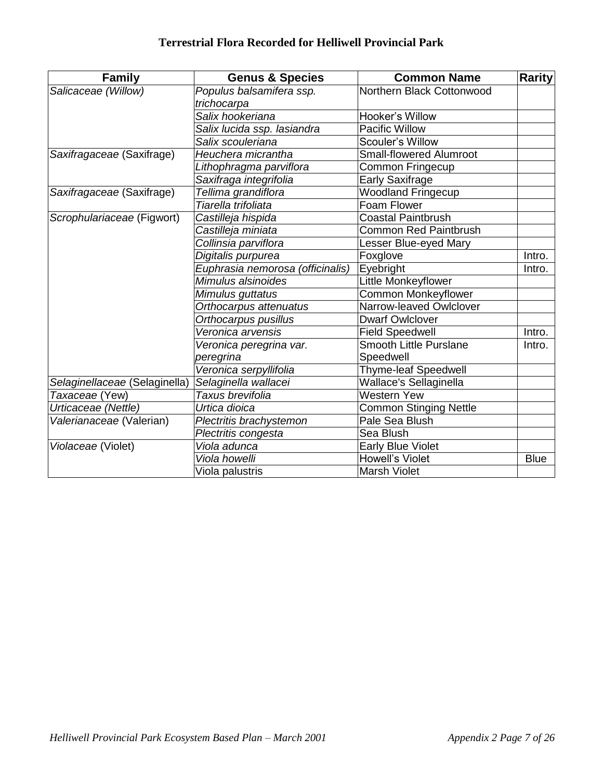| <b>Family</b>                 | <b>Genus &amp; Species</b>       | <b>Common Name</b>             | <b>Rarity</b> |  |
|-------------------------------|----------------------------------|--------------------------------|---------------|--|
| Salicaceae (Willow)           | Populus balsamifera ssp.         | Northern Black Cottonwood      |               |  |
|                               | trichocarpa                      |                                |               |  |
|                               | Salix hookeriana                 | Hooker's Willow                |               |  |
|                               | Salix lucida ssp. lasiandra      | Pacific Willow                 |               |  |
|                               | Salix scouleriana                | Scouler's Willow               |               |  |
| Saxifragaceae (Saxifrage)     | Heuchera micrantha               | <b>Small-flowered Alumroot</b> |               |  |
|                               | Lithophragma parviflora          | Common Fringecup               |               |  |
|                               | Saxifraga integrifolia           | <b>Early Saxifrage</b>         |               |  |
| Saxifragaceae (Saxifrage)     | Tellima grandiflora              | <b>Woodland Fringecup</b>      |               |  |
|                               | Tiarella trifoliata              | Foam Flower                    |               |  |
| Scrophulariaceae (Figwort)    | Castilleja hispida               | <b>Coastal Paintbrush</b>      |               |  |
|                               | Castilleja miniata               | <b>Common Red Paintbrush</b>   |               |  |
|                               | Collinsia parviflora             | Lesser Blue-eyed Mary          |               |  |
|                               | Digitalis purpurea               | Foxglove                       | Intro.        |  |
|                               | Euphrasia nemorosa (officinalis) | Eyebright                      | Intro.        |  |
|                               | Mimulus alsinoides               | Little Monkeyflower            |               |  |
|                               | Mimulus guttatus                 | Common Monkeyflower            |               |  |
|                               | Orthocarpus attenuatus           | Narrow-leaved Owlclover        |               |  |
|                               | Orthocarpus pusillus             | <b>Dwarf Owlclover</b>         |               |  |
|                               | Veronica arvensis                | <b>Field Speedwell</b>         | Intro.        |  |
|                               | Veronica peregrina var.          | Smooth Little Purslane         | Intro.        |  |
|                               | peregrina                        | Speedwell                      |               |  |
|                               | Veronica serpyllifolia           | <b>Thyme-leaf Speedwell</b>    |               |  |
| Selaginellaceae (Selaginella) | Selaginella wallacei             | Wallace's Sellaginella         |               |  |
| Taxaceae (Yew)                | Taxus brevifolia                 | <b>Western Yew</b>             |               |  |
| Urticaceae (Nettle)           | Urtica dioica                    | <b>Common Stinging Nettle</b>  |               |  |
| Valerianaceae (Valerian)      | Plectritis brachystemon          | Pale Sea Blush                 |               |  |
|                               | Plectritis congesta              | Sea Blush                      |               |  |
| Violaceae (Violet)            | Viola adunca                     | <b>Early Blue Violet</b>       |               |  |
|                               | Viola howelli                    | <b>Howell's Violet</b>         | <b>Blue</b>   |  |
|                               | Viola palustris                  | <b>Marsh Violet</b>            |               |  |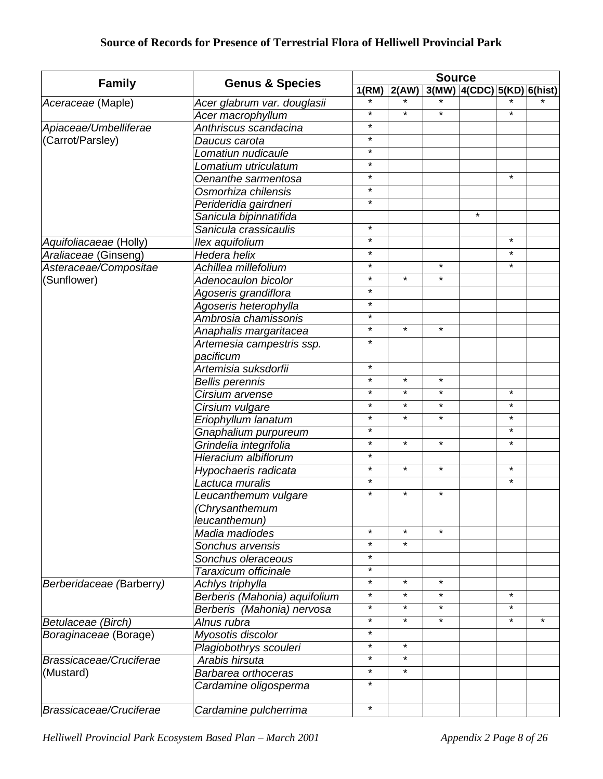|                          |                               | <b>Source</b> |         |         |                               |          |         |
|--------------------------|-------------------------------|---------------|---------|---------|-------------------------------|----------|---------|
| <b>Family</b>            | <b>Genus &amp; Species</b>    | 1(RM)         | 2(AW)   |         | $3(MW)$  4(CDC) 5(KD) 6(hist) |          |         |
| Aceraceae (Maple)        | Acer glabrum var. douglasii   |               |         |         |                               |          |         |
|                          | Acer macrophyllum             | $\star$       | $\star$ | $\star$ |                               | $\star$  |         |
| Apiaceae/Umbelliferae    | Anthriscus scandacina         | $\star$       |         |         |                               |          |         |
| (Carrot/Parsley)         | Daucus carota                 | $\star$       |         |         |                               |          |         |
|                          | Lomatiun nudicaule            | $\star$       |         |         |                               |          |         |
|                          | Lomatium utriculatum          | $\star$       |         |         |                               |          |         |
|                          | Oenanthe sarmentosa           | $\star$       |         |         |                               | $^\star$ |         |
|                          | Osmorhiza chilensis           | $\star$       |         |         |                               |          |         |
|                          | Perideridia gairdneri         | $\star$       |         |         |                               |          |         |
|                          | Sanicula bipinnatifida        |               |         |         | $\star$                       |          |         |
|                          | Sanicula crassicaulis         | $\star$       |         |         |                               |          |         |
| Aquifoliacaeae (Holly)   | Ilex aquifolium               | $\star$       |         |         |                               | $\star$  |         |
| Araliaceae (Ginseng)     | Hedera helix                  | $\star$       |         |         |                               | $\star$  |         |
| Asteraceae/Compositae    | Achillea millefolium          | $\star$       |         | $\star$ |                               | $\star$  |         |
| (Sunflower)              | Adenocaulon bicolor           | $\star$       | $\star$ | $\star$ |                               |          |         |
|                          | Agoseris grandiflora          | $\star$       |         |         |                               |          |         |
|                          | Agoseris heterophylla         | $\star$       |         |         |                               |          |         |
|                          | Ambrosia chamissonis          | $\star$       |         |         |                               |          |         |
|                          | Anaphalis margaritacea        | $\star$       | $\star$ | $\star$ |                               |          |         |
|                          | Artemesia campestris ssp.     | $\star$       |         |         |                               |          |         |
|                          | pacificum                     |               |         |         |                               |          |         |
|                          | Artemisia suksdorfii          | $\star$       |         |         |                               |          |         |
|                          | <b>Bellis perennis</b>        | $\star$       | $\star$ | $\star$ |                               |          |         |
|                          | Cirsium arvense               | $\star$       | $\star$ | $\star$ |                               | $\star$  |         |
|                          | Cirsium vulgare               | $\star$       | $\star$ | $\star$ |                               | $\star$  |         |
|                          | Eriophyllum lanatum           | $\star$       | $\star$ | $\star$ |                               | $\star$  |         |
|                          | Gnaphalium purpureum          | $\star$       |         |         |                               | $\star$  |         |
|                          | Grindelia integrifolia        | $\star$       | $\star$ | $\star$ |                               | $\star$  |         |
|                          | Hieracium albiflorum          | $\star$       |         |         |                               |          |         |
|                          | Hypochaeris radicata          | $\star$       | $\star$ | $\star$ |                               | $\star$  |         |
|                          | Lactuca muralis               | $\star$       |         |         |                               | $\star$  |         |
|                          | Leucanthemum vulgare          | $\star$       | $\star$ | *       |                               |          |         |
|                          | (Chrysanthemum                |               |         |         |                               |          |         |
|                          | leucanthemun)                 |               |         |         |                               |          |         |
|                          | Madia madiodes                | $\star$       | $\star$ | $\star$ |                               |          |         |
|                          | Sonchus arvensis              | $\star$       | $\star$ |         |                               |          |         |
|                          | Sonchus oleraceous            | $\star$       |         |         |                               |          |         |
|                          | Taraxicum officinale          | $\star$       |         |         |                               |          |         |
| Berberidaceae (Barberry) | Achlys triphylla              | $\star$       | $\star$ | *       |                               |          |         |
|                          | Berberis (Mahonia) aquifolium | $\star$       | $\star$ | $\star$ |                               | $\star$  |         |
|                          | Berberis (Mahonia) nervosa    | $\star$       | $\star$ | $\star$ |                               | $^\star$ |         |
| Betulaceae (Birch)       | Alnus rubra                   | $\star$       | $\star$ | $\star$ |                               | $\star$  | $\star$ |
| Boraginaceae (Borage)    | Myosotis discolor             | $\star$       |         |         |                               |          |         |
|                          | Plagiobothrys scouleri        | $\star$       | $\star$ |         |                               |          |         |
| Brassicaceae/Cruciferae  | Arabis hirsuta                | $\star$       | $\star$ |         |                               |          |         |
| (Mustard)                | Barbarea orthoceras           | $\star$       | $\star$ |         |                               |          |         |
|                          | Cardamine oligosperma         | $\star$       |         |         |                               |          |         |
|                          |                               |               |         |         |                               |          |         |
| Brassicaceae/Cruciferae  | Cardamine pulcherrima         | $\star$       |         |         |                               |          |         |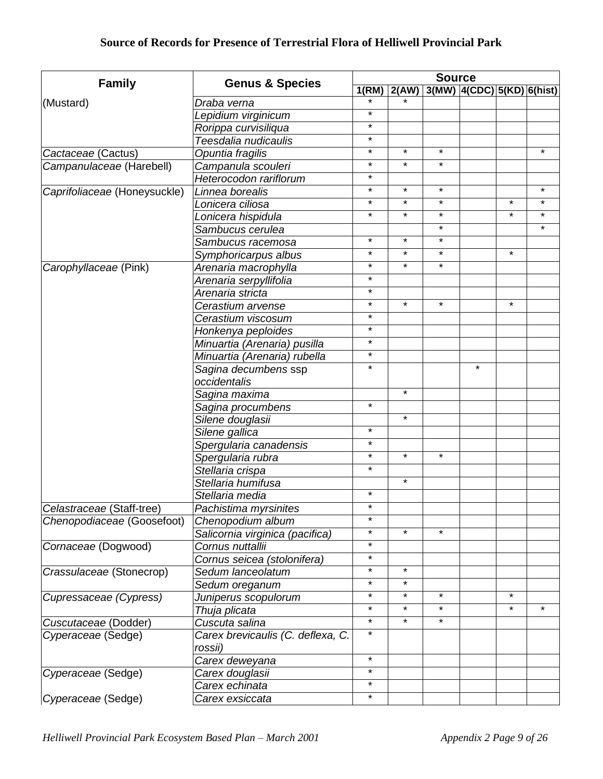|                              | <b>Genus &amp; Species</b>        | <b>Source</b> |                     |          |                            |          |         |
|------------------------------|-----------------------------------|---------------|---------------------|----------|----------------------------|----------|---------|
| <b>Family</b>                |                                   | 1(RM)         | $\overline{2}$ (AW) |          | 3(MW) 4(CDC) 5(KD) 6(hist) |          |         |
| (Mustard)                    | Draba verna                       |               |                     |          |                            |          |         |
|                              | Lepidium virginicum               | $\star$       |                     |          |                            |          |         |
|                              | Rorippa curvisiliqua              | $\star$       |                     |          |                            |          |         |
|                              | Teesdalia nudicaulis              | $\star$       |                     |          |                            |          |         |
| Cactaceae (Cactus)           | Opuntia fragilis                  | $\star$       | $\star$             | $\star$  |                            |          | $\star$ |
| Campanulaceae (Harebell)     | Campanula scouleri                | $\star$       | $\star$             | $\star$  |                            |          |         |
|                              | Heterocodon rariflorum            | $\star$       |                     |          |                            |          |         |
| Caprifoliaceae (Honeysuckle) | Linnea borealis                   | $\star$       | $\star$             | $\star$  |                            |          | $\star$ |
|                              | Lonicera ciliosa                  | $\star$       | $\star$             | $\star$  |                            | $\star$  | $\star$ |
|                              | Lonicera hispidula                | $\star$       | $\star$             | $\star$  |                            | $\star$  | $\star$ |
|                              | Sambucus cerulea                  |               |                     | $\star$  |                            |          | $\star$ |
|                              | Sambucus racemosa                 | $\star$       | $\star$             | $\star$  |                            |          |         |
|                              | Symphoricarpus albus              | $\star$       | $\star$             | $\star$  |                            | $\star$  |         |
| Carophyllaceae (Pink)        | Arenaria macrophylla              | $\star$       | $\star$             | $\star$  |                            |          |         |
|                              | Arenaria serpyllifolia            | $\star$       |                     |          |                            |          |         |
|                              | Arenaria stricta                  | $\star$       |                     |          |                            |          |         |
|                              | Cerastium arvense                 | $\star$       | $\star$             | $\star$  |                            | $\star$  |         |
|                              | Cerastium viscosum                | $\star$       |                     |          |                            |          |         |
|                              | Honkenya peploides                | $\star$       |                     |          |                            |          |         |
|                              | Minuartia (Arenaria) pusilla      | $\star$       |                     |          |                            |          |         |
|                              | Minuartia (Arenaria) rubella      | $\star$       |                     |          |                            |          |         |
|                              | Sagina decumbens ssp              | $\star$       |                     |          | $\star$                    |          |         |
|                              | occidentalis                      |               |                     |          |                            |          |         |
|                              | Sagina maxima                     |               | $\star$             |          |                            |          |         |
|                              | Sagina procumbens                 | $\star$       |                     |          |                            |          |         |
|                              | Silene douglasii                  |               | $\star$             |          |                            |          |         |
|                              | Silene gallica                    | $\star$       |                     |          |                            |          |         |
|                              | Spergularia canadensis            | $\star$       |                     |          |                            |          |         |
|                              | Spergularia rubra                 | $\star$       | $\star$             | $\star$  |                            |          |         |
|                              | Stellaria crispa                  | $\star$       |                     |          |                            |          |         |
|                              | Stellaria humifusa                |               | $\star$             |          |                            |          |         |
|                              | Stellaria media                   | $\star$       |                     |          |                            |          |         |
| Celastraceae (Staff-tree)    | Pachistima myrsinites             | $\star$       |                     |          |                            |          |         |
| Chenopodiaceae (Goosefoot)   | Chenopodium album                 | $\star$       |                     |          |                            |          |         |
|                              | Salicornia virginica (pacifica)   | $\star$       | $\star$             | $\star$  |                            |          |         |
| Cornaceae (Dogwood)          | Cornus nuttallii                  | $\star$       |                     |          |                            |          |         |
|                              | Cornus seicea (stolonifera)       | $\star$       |                     |          |                            |          |         |
| Crassulaceae (Stonecrop)     | Sedum lanceolatum                 | $\star$       | $\star$             |          |                            |          |         |
|                              | Sedum oreganum                    | $\star$       | $\star$             |          |                            |          |         |
| Cupressaceae (Cypress)       | Juniperus scopulorum              | $\star$       | $^\star$            | $^\star$ |                            | $^\star$ |         |
|                              | Thuja plicata                     | $\star$       | $\star$             | $\star$  |                            | $\star$  | $\star$ |
| Cuscutaceae (Dodder)         | Cuscuta salina                    | $\star$       | $\star$             | $\star$  |                            |          |         |
| Cyperaceae (Sedge)           | Carex brevicaulis (C. deflexa, C. | $\star$       |                     |          |                            |          |         |
|                              | rossii)                           |               |                     |          |                            |          |         |
|                              | Carex deweyana                    | $\star$       |                     |          |                            |          |         |
| Cyperaceae (Sedge)           | Carex douglasii                   | $\star$       |                     |          |                            |          |         |
|                              | Carex echinata                    | $\star$       |                     |          |                            |          |         |
| Cyperaceae (Sedge)           | Carex exsiccata                   | $\star$       |                     |          |                            |          |         |
|                              |                                   |               |                     |          |                            |          |         |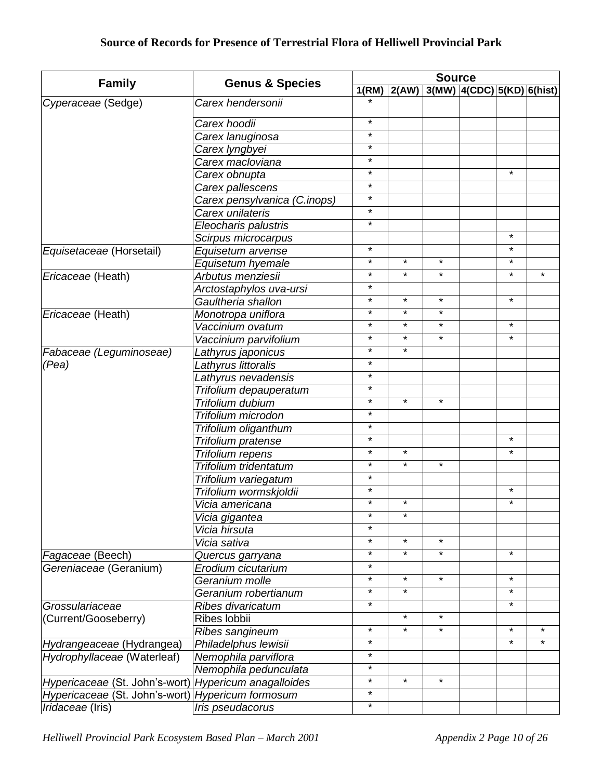|                                                       |                              | <b>Source</b> |         |         |                                |         |         |
|-------------------------------------------------------|------------------------------|---------------|---------|---------|--------------------------------|---------|---------|
| <b>Family</b>                                         | <b>Genus &amp; Species</b>   | 1(RM)         | 2(AW)   |         | $3(MW)$ 4(CDC) $5(KD)$ 6(hist) |         |         |
| Cyperaceae (Sedge)                                    | Carex hendersonii            |               |         |         |                                |         |         |
|                                                       | Carex hoodii                 | $\star$       |         |         |                                |         |         |
|                                                       | Carex lanuginosa             | $\star$       |         |         |                                |         |         |
|                                                       | Carex lyngbyei               | $\star$       |         |         |                                |         |         |
|                                                       | Carex macloviana             | $\star$       |         |         |                                |         |         |
|                                                       | Carex obnupta                | $\star$       |         |         |                                | $\star$ |         |
|                                                       | Carex pallescens             | $\star$       |         |         |                                |         |         |
|                                                       | Carex pensylvanica (C.inops) | $\star$       |         |         |                                |         |         |
|                                                       | Carex unilateris             | $\star$       |         |         |                                |         |         |
|                                                       | Eleocharis palustris         | $\star$       |         |         |                                |         |         |
|                                                       | Scirpus microcarpus          |               |         |         |                                | $\star$ |         |
| Equisetaceae (Horsetail)                              | Equisetum arvense            | $\star$       |         |         |                                | $\star$ |         |
|                                                       | Equisetum hyemale            | $\star$       | $\star$ | $\star$ |                                | $\star$ |         |
|                                                       | Arbutus menziesii            | $\star$       | $\star$ | $\star$ |                                | $\star$ | $\star$ |
| Ericaceae (Heath)                                     |                              | $\star$       |         |         |                                |         |         |
|                                                       | Arctostaphylos uva-ursi      | $\star$       | $\star$ | $\star$ |                                | $\star$ |         |
|                                                       | Gaultheria shallon           | $\star$       | $\star$ | $\star$ |                                |         |         |
| Ericaceae (Heath)                                     | Monotropa uniflora           | $\star$       | $\star$ | $\star$ |                                | $\star$ |         |
|                                                       | Vaccinium ovatum             | $\star$       | $\star$ | $\star$ |                                | $\star$ |         |
|                                                       | Vaccinium parvifolium        | $\star$       | $\star$ |         |                                |         |         |
| Fabaceae (Leguminoseae)                               | Lathyrus japonicus           | $\star$       |         |         |                                |         |         |
| (Pea)                                                 | Lathyrus littoralis          | $\star$       |         |         |                                |         |         |
|                                                       | Lathyrus nevadensis          | $\star$       |         |         |                                |         |         |
|                                                       | Trifolium depauperatum       |               |         |         |                                |         |         |
|                                                       | Trifolium dubium             | $\star$       | $\star$ | $\star$ |                                |         |         |
|                                                       | Trifolium microdon           | $\star$       |         |         |                                |         |         |
|                                                       | Trifolium oliganthum         | $\star$       |         |         |                                |         |         |
|                                                       | Trifolium pratense           | $\star$       |         |         |                                | $\star$ |         |
|                                                       | Trifolium repens             | $\star$       | $\star$ |         |                                | $\star$ |         |
|                                                       | Trifolium tridentatum        | $\star$       | $\star$ | $\star$ |                                |         |         |
|                                                       | Trifolium variegatum         | $\star$       |         |         |                                |         |         |
|                                                       | Trifolium wormskjoldii       | $\star$       |         |         |                                | $\star$ |         |
|                                                       | Vicia americana              | $\star$       | $\star$ |         |                                | $\star$ |         |
|                                                       | Vicia gigantea               | $\star$       | $\star$ |         |                                |         |         |
|                                                       | Vicia hirsuta                | $\star$       |         |         |                                |         |         |
|                                                       | Vicia sativa                 | $\star$       | $\star$ | $\star$ |                                |         |         |
| Fagaceae (Beech)                                      | Quercus garryana             | $\star$       | $\star$ | $\star$ |                                | $\star$ |         |
| Gereniaceae (Geranium)                                | Erodium cicutarium           | $\star$       |         |         |                                |         |         |
|                                                       | Geranium molle               | $\star$       | $\star$ | $\star$ |                                | $\star$ |         |
|                                                       | Geranium robertianum         | $\star$       | $\star$ |         |                                | $\star$ |         |
| Grossulariaceae                                       | Ribes divaricatum            | $\star$       |         |         |                                | $\star$ |         |
| (Current/Gooseberry)                                  | Ribes lobbii                 |               | $\star$ | $\star$ |                                |         |         |
|                                                       | Ribes sangineum              | $\star$       | $\star$ | $\star$ |                                | $\star$ | $\star$ |
| Hydrangeaceae (Hydrangea)                             | Philadelphus lewisii         | $\star$       |         |         |                                | $\star$ | $\star$ |
| Hydrophyllaceae (Waterleaf)                           | Nemophila parviflora         | $\star$       |         |         |                                |         |         |
|                                                       | Nemophila pedunculata        | $\star$       |         |         |                                |         |         |
| Hypericaceae (St. John's-wort) Hypericum anagalloides |                              | $\star$       | $\star$ | $\star$ |                                |         |         |
| Hypericaceae (St. John's-wort) Hypericum formosum     |                              | $\star$       |         |         |                                |         |         |
| Iridaceae (Iris)                                      | Iris pseudacorus             | $\star$       |         |         |                                |         |         |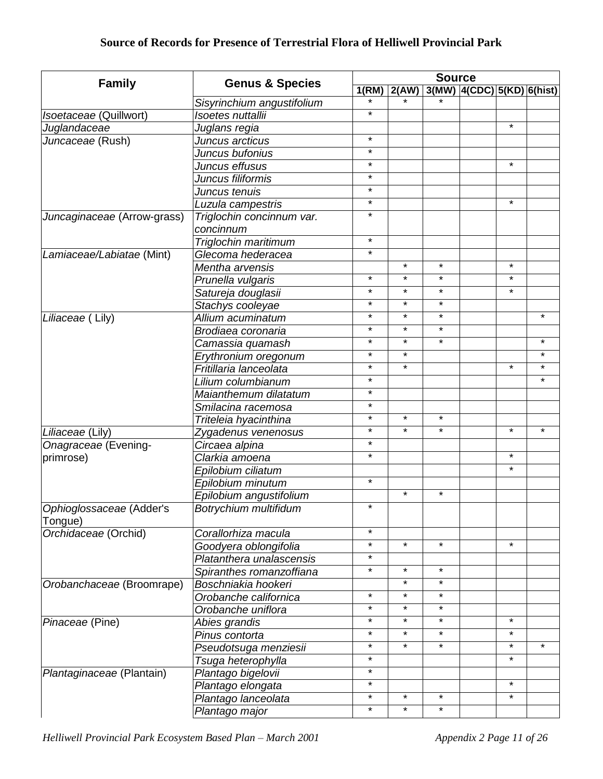|                             | <b>Genus &amp; Species</b> |         | <b>Source</b> |         |                            |         |         |  |
|-----------------------------|----------------------------|---------|---------------|---------|----------------------------|---------|---------|--|
| <b>Family</b>               |                            | 1(RM)   | 2(AW)         |         | 3(MW) 4(CDC) 5(KD) 6(hist) |         |         |  |
|                             | Sisyrinchium angustifolium |         |               |         |                            |         |         |  |
| Isoetaceae (Quillwort)      | Isoetes nuttallii          | $\star$ |               |         |                            |         |         |  |
| Juglandaceae                | Juglans regia              |         |               |         |                            | $\star$ |         |  |
| Juncaceae (Rush)            | Juncus arcticus            | $\star$ |               |         |                            |         |         |  |
|                             | Juncus bufonius            | $\star$ |               |         |                            |         |         |  |
|                             | Juncus effusus             | $\star$ |               |         |                            | $\star$ |         |  |
|                             | Juncus filiformis          | $\star$ |               |         |                            |         |         |  |
|                             | Juncus tenuis              | $\star$ |               |         |                            |         |         |  |
|                             | Luzula campestris          | $\star$ |               |         |                            | $\star$ |         |  |
| Juncaginaceae (Arrow-grass) | Triglochin concinnum var.  | $\star$ |               |         |                            |         |         |  |
|                             | concinnum                  |         |               |         |                            |         |         |  |
|                             | Triglochin maritimum       | $\star$ |               |         |                            |         |         |  |
| Lamiaceae/Labiatae (Mint)   | Glecoma hederacea          | $\star$ |               |         |                            |         |         |  |
|                             | Mentha arvensis            |         | $\star$       | $\star$ |                            | $\star$ |         |  |
|                             | Prunella vulgaris          | $\star$ | $\star$       | $\star$ |                            | $\star$ |         |  |
|                             | Satureja douglasii         | $\star$ | $\star$       | $\star$ |                            | $\star$ |         |  |
|                             | Stachys cooleyae           | $\star$ | $\star$       | $\star$ |                            |         |         |  |
| Liliaceae (Lily)            | Allium acuminatum          | $\star$ | $\star$       | $\star$ |                            |         | $\star$ |  |
|                             | Brodiaea coronaria         | $\star$ | $\star$       | $\star$ |                            |         |         |  |
|                             | Camassia quamash           | $\star$ | $\star$       | $\star$ |                            |         | $\star$ |  |
|                             | Erythronium oregonum       | $\star$ | $\star$       |         |                            |         | $\star$ |  |
|                             | Fritillaria lanceolata     | $\star$ | $\star$       |         |                            | $\star$ | $\star$ |  |
|                             | Lilium columbianum         | $\star$ |               |         |                            |         | $\star$ |  |
|                             | Maianthemum dilatatum      | $\star$ |               |         |                            |         |         |  |
|                             | Smilacina racemosa         | $\star$ |               |         |                            |         |         |  |
|                             | Triteleia hyacinthina      | $\star$ | $\star$       | $\star$ |                            |         |         |  |
| Liliaceae (Lily)            | Zygadenus venenosus        | $\star$ | $\star$       | $\star$ |                            | $\star$ | $\star$ |  |
| Onagraceae (Evening-        | Circaea alpina             | $\star$ |               |         |                            |         |         |  |
| primrose)                   | Clarkia amoena             | $\star$ |               |         |                            | $\star$ |         |  |
|                             | Epilobium ciliatum         |         |               |         |                            | $\star$ |         |  |
|                             | Epilobium minutum          | $\star$ |               |         |                            |         |         |  |
|                             | Epilobium angustifolium    |         | $\star$       | $\star$ |                            |         |         |  |
| Ophioglossaceae (Adder's    | Botrychium multifidum      | $\star$ |               |         |                            |         |         |  |
| Tongue)                     |                            |         |               |         |                            |         |         |  |
| Orchidaceae (Orchid)        | Corallorhiza macula        | $\star$ |               |         |                            |         |         |  |
|                             | Goodyera oblongifolia      | $\star$ | $\star$       | $\star$ |                            | $\star$ |         |  |
|                             | Platanthera unalascensis   | $\star$ |               |         |                            |         |         |  |
|                             | Spiranthes romanzoffiana   | $\star$ | $\star$       | $\star$ |                            |         |         |  |
| Orobanchaceae (Broomrape)   | Boschniakia hookeri        |         | $\star$       | $\star$ |                            |         |         |  |
|                             | Orobanche californica      | $\star$ | $\star$       | $\star$ |                            |         |         |  |
|                             | Orobanche uniflora         | $\star$ | $\star$       | $\star$ |                            |         |         |  |
| Pinaceae (Pine)             | Abies grandis              | $\star$ | $\star$       | $\star$ |                            | $\star$ |         |  |
|                             | Pinus contorta             | $\star$ | $\star$       | $\star$ |                            | $\star$ |         |  |
|                             | Pseudotsuga menziesii      | $\star$ | $\star$       | $\star$ |                            | $\star$ | $\star$ |  |
|                             | Tsuga heterophylla         | $\star$ |               |         |                            | $\star$ |         |  |
| Plantaginaceae (Plantain)   | Plantago bigelovii         | $\star$ |               |         |                            |         |         |  |
|                             | Plantago elongata          | $\star$ |               |         |                            | $\star$ |         |  |
|                             | Plantago lanceolata        | $\star$ | $\star$       | $\star$ |                            | $\star$ |         |  |
|                             | Plantago major             | $\star$ | $\star$       | $\star$ |                            |         |         |  |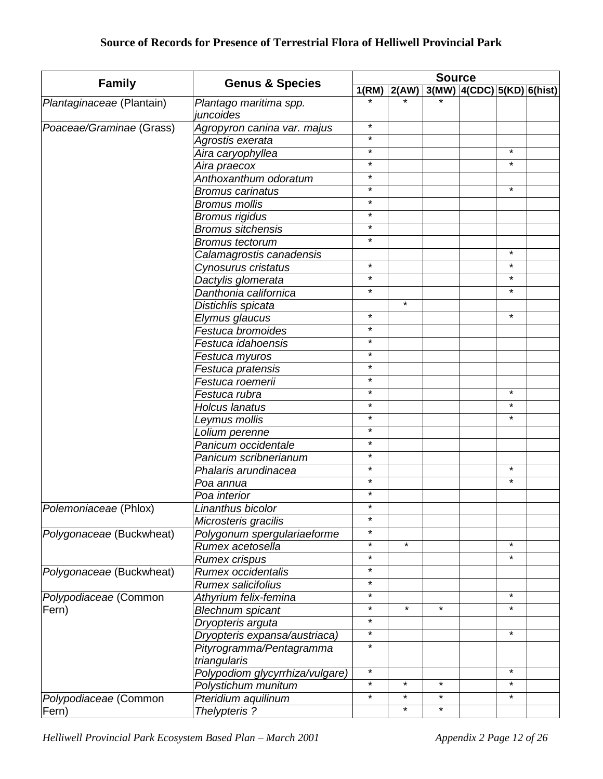|                           | <b>Genus &amp; Species</b>          | <b>Source</b>      |                     |         |                               |                     |  |
|---------------------------|-------------------------------------|--------------------|---------------------|---------|-------------------------------|---------------------|--|
| <b>Family</b>             |                                     | 1(RM)              | $\overline{2}$ (AW) |         | $3(MW)$  4(CDC) 5(KD) 6(hist) |                     |  |
| Plantaginaceae (Plantain) | Plantago maritima spp.<br>juncoides |                    |                     |         |                               |                     |  |
| Poaceae/Graminae (Grass)  | Agropyron canina var. majus         | $\star$            |                     |         |                               |                     |  |
|                           | Agrostis exerata                    | $\star$            |                     |         |                               |                     |  |
|                           | Aira caryophyllea                   | $\star$            |                     |         |                               | $\star$             |  |
|                           | Aira praecox                        | $\star$            |                     |         |                               | $\star$             |  |
|                           | Anthoxanthum odoratum               | $\star$            |                     |         |                               |                     |  |
|                           | <b>Bromus carinatus</b>             | $\star$            |                     |         |                               | $\star$             |  |
|                           | <b>Bromus mollis</b>                | $\star$            |                     |         |                               |                     |  |
|                           | <b>Bromus rigidus</b>               | $\star$            |                     |         |                               |                     |  |
|                           | <b>Bromus sitchensis</b>            | $\star$            |                     |         |                               |                     |  |
|                           | <b>Bromus tectorum</b>              | $\star$            |                     |         |                               |                     |  |
|                           | Calamagrostis canadensis            |                    |                     |         |                               | $^\star$            |  |
|                           | Cynosurus cristatus                 | $\star$            |                     |         |                               | $\star$             |  |
|                           | Dactylis glomerata                  | $\star$            |                     |         |                               | $\star$             |  |
|                           | Danthonia californica               | $\star$            |                     |         |                               | $\star$             |  |
|                           | Distichlis spicata                  |                    | $\star$             |         |                               |                     |  |
|                           | Elymus glaucus                      | $\star$            |                     |         |                               | $\star$             |  |
|                           | Festuca bromoides                   | $\star$            |                     |         |                               |                     |  |
|                           | Festuca idahoensis                  | $\star$            |                     |         |                               |                     |  |
|                           | Festuca myuros                      | $\star$            |                     |         |                               |                     |  |
|                           | Festuca pratensis                   | $\star$            |                     |         |                               |                     |  |
|                           | Festuca roemerii                    | $\star$            |                     |         |                               |                     |  |
|                           | Festuca rubra                       | $\star$            |                     |         |                               | $\star$             |  |
|                           | Holcus lanatus                      | $\star$            |                     |         |                               | $\star$             |  |
|                           | Leymus mollis                       | $\star$            |                     |         |                               | $\star$             |  |
|                           | Lolium perenne                      | $\star$            |                     |         |                               |                     |  |
|                           | Panicum occidentale                 | $\star$            |                     |         |                               |                     |  |
|                           | Panicum scribnerianum               | $\star$            |                     |         |                               |                     |  |
|                           | Phalaris arundinacea                | $\star$            |                     |         |                               | $\star$             |  |
|                           | Poa annua                           | $\star$            |                     |         |                               | $\star$             |  |
|                           | Poa interior                        | $\star$            |                     |         |                               |                     |  |
| Polemoniaceae (Phlox)     | Linanthus bicolor                   | $\star$            |                     |         |                               |                     |  |
|                           | Microsteris gracilis                | $\star$            |                     |         |                               |                     |  |
| Polygonaceae (Buckwheat)  | Polygonum spergulariaeforme         | $\star$            |                     |         |                               |                     |  |
|                           | Rumex acetosella                    | $\star$<br>$\star$ | $\star$             |         |                               | $\star$             |  |
|                           | Rumex crispus                       |                    |                     |         |                               | $\star$             |  |
| Polygonaceae (Buckwheat)  | Rumex occidentalis                  | $\star$<br>$\star$ |                     |         |                               |                     |  |
|                           | <b>Rumex salicifolius</b>           |                    |                     |         |                               |                     |  |
| Polypodiaceae (Common     | Athyrium felix-femina               | $\star$            | $\star$             |         |                               | $\star$<br>$\star$  |  |
| Fern)                     | <b>Blechnum spicant</b>             | $\star$            |                     | $\star$ |                               |                     |  |
|                           | Dryopteris arguta                   | $\star$            |                     |         |                               |                     |  |
|                           | Dryopteris expansa/austriaca)       | $\star$<br>$\star$ |                     |         |                               | $\star$             |  |
|                           | Pityrogramma/Pentagramma            |                    |                     |         |                               |                     |  |
|                           | triangularis                        | $\star$            |                     |         |                               | $\star$             |  |
|                           | Polypodiom glycyrrhiza/vulgare)     | $\star$            | $\star$             | $\star$ |                               |                     |  |
|                           | Polystichum munitum                 | $\star$            | $\star$             | $\star$ |                               | $^\star$<br>$\star$ |  |
| Polypodiaceae (Common     | Pteridium aquilinum                 |                    |                     |         |                               |                     |  |
| Fern)                     | Thelypteris?                        |                    | $\star$             | $\star$ |                               |                     |  |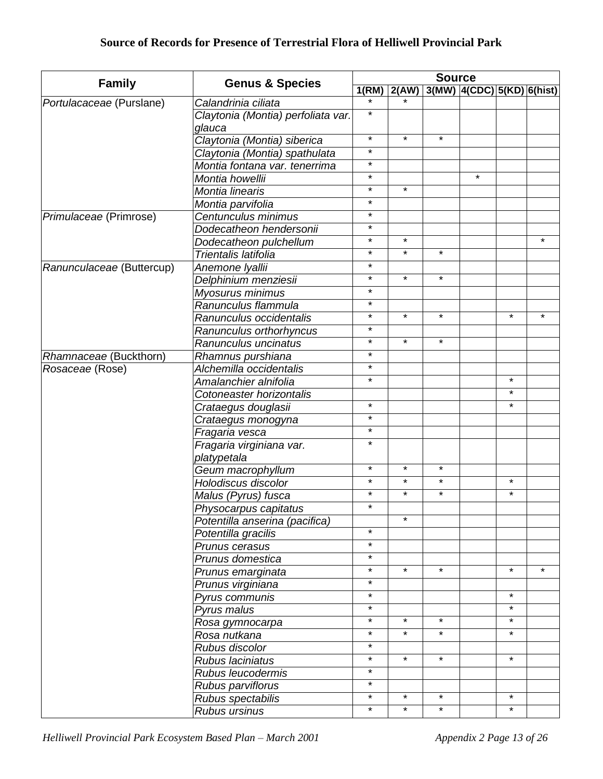|                           |                                              |         | <b>Source</b> |         |                                          |          |         |  |  |  |
|---------------------------|----------------------------------------------|---------|---------------|---------|------------------------------------------|----------|---------|--|--|--|
| <b>Family</b>             | <b>Genus &amp; Species</b>                   |         |               |         | $1(RM)$ 2(AW) 3(MW) 4(CDC) 5(KD) 6(hist) |          |         |  |  |  |
| Portulacaceae (Purslane)  | Calandrinia ciliata                          |         |               |         |                                          |          |         |  |  |  |
|                           | Claytonia (Montia) perfoliata var.<br>glauca | $\star$ |               |         |                                          |          |         |  |  |  |
|                           | Claytonia (Montia) siberica                  | $\star$ | $\star$       | $\star$ |                                          |          |         |  |  |  |
|                           | Claytonia (Montia) spathulata                | $\star$ |               |         |                                          |          |         |  |  |  |
|                           | Montia fontana var. tenerrima                | $\star$ |               |         |                                          |          |         |  |  |  |
|                           | Montia howellii                              | $\star$ |               |         | $\star$                                  |          |         |  |  |  |
|                           | Montia linearis                              | $\star$ | $\star$       |         |                                          |          |         |  |  |  |
|                           | Montia parvifolia                            | $\star$ |               |         |                                          |          |         |  |  |  |
| Primulaceae (Primrose)    | Centunculus minimus                          | $\star$ |               |         |                                          |          |         |  |  |  |
|                           | Dodecatheon hendersonii                      | $\star$ |               |         |                                          |          |         |  |  |  |
|                           | Dodecatheon pulchellum                       | $\star$ | $\star$       |         |                                          |          | $\star$ |  |  |  |
|                           | Trientalis latifolia                         | $\star$ | $\star$       | $\star$ |                                          |          |         |  |  |  |
| Ranunculaceae (Buttercup) | Anemone Iyallii                              | $\star$ |               |         |                                          |          |         |  |  |  |
|                           | Delphinium menziesii                         | $\star$ | $\star$       | $\star$ |                                          |          |         |  |  |  |
|                           | Myosurus minimus                             | $\star$ |               |         |                                          |          |         |  |  |  |
|                           | Ranunculus flammula                          | $\star$ |               |         |                                          |          |         |  |  |  |
|                           | Ranunculus occidentalis                      | $\star$ | $\star$       | $\star$ |                                          | $\star$  | $\star$ |  |  |  |
|                           | Ranunculus orthorhyncus                      | $\star$ |               |         |                                          |          |         |  |  |  |
|                           | Ranunculus uncinatus                         | $\star$ | $\star$       | $\star$ |                                          |          |         |  |  |  |
| Rhamnaceae (Buckthorn)    | Rhamnus purshiana                            | $\star$ |               |         |                                          |          |         |  |  |  |
| Rosaceae (Rose)           | Alchemilla occidentalis                      | $\star$ |               |         |                                          |          |         |  |  |  |
|                           | Amalanchier alnifolia                        | $\star$ |               |         |                                          | $\star$  |         |  |  |  |
|                           | Cotoneaster horizontalis                     |         |               |         |                                          | $\star$  |         |  |  |  |
|                           | Crataegus douglasii                          | $\star$ |               |         |                                          | $\star$  |         |  |  |  |
|                           | Crataegus monogyna                           | $\star$ |               |         |                                          |          |         |  |  |  |
|                           | Fragaria vesca                               | $\star$ |               |         |                                          |          |         |  |  |  |
|                           | Fragaria virginiana var.                     | $\star$ |               |         |                                          |          |         |  |  |  |
|                           | platypetala                                  |         |               |         |                                          |          |         |  |  |  |
|                           | Geum macrophyllum                            | $\star$ | $\star$       | $\star$ |                                          |          |         |  |  |  |
|                           | Holodiscus discolor                          | $\star$ | $\star$       | $\star$ |                                          | $\star$  |         |  |  |  |
|                           | Malus (Pyrus) fusca                          | $\star$ | $\star$       | $\star$ |                                          | $^\star$ |         |  |  |  |
|                           | Physocarpus capitatus                        | $\star$ |               |         |                                          |          |         |  |  |  |
|                           | Potentilla anserina (pacifica)               |         | $\star$       |         |                                          |          |         |  |  |  |
|                           | Potentilla gracilis                          | $\star$ |               |         |                                          |          |         |  |  |  |
|                           | Prunus cerasus                               | $\star$ |               |         |                                          |          |         |  |  |  |
|                           | Prunus domestica                             | $\star$ |               |         |                                          |          |         |  |  |  |
|                           | Prunus emarginata                            | $\star$ | $\star$       | $\star$ |                                          | $\star$  | $\star$ |  |  |  |
|                           | Prunus virginiana                            | $\star$ |               |         |                                          |          |         |  |  |  |
|                           | Pyrus communis                               | $\star$ |               |         |                                          | $\star$  |         |  |  |  |
|                           | Pyrus malus                                  | $\star$ |               |         |                                          | $\star$  |         |  |  |  |
|                           | Rosa gymnocarpa                              | $\star$ | $\star$       | $\star$ |                                          | $\star$  |         |  |  |  |
|                           | Rosa nutkana                                 | $\star$ | $\star$       | $\star$ |                                          | $\star$  |         |  |  |  |
|                           | Rubus discolor                               | $\star$ |               |         |                                          |          |         |  |  |  |
|                           | Rubus laciniatus                             | $\star$ | $\star$       | $\star$ |                                          | $\star$  |         |  |  |  |
|                           | Rubus leucodermis                            | $\star$ |               |         |                                          |          |         |  |  |  |
|                           | Rubus parviflorus                            | $\star$ |               |         |                                          |          |         |  |  |  |
|                           | Rubus spectabilis                            | $\star$ | $\star$       | $\star$ |                                          | $\star$  |         |  |  |  |
|                           | Rubus ursinus                                | $\star$ | $\star$       | $\star$ |                                          | *        |         |  |  |  |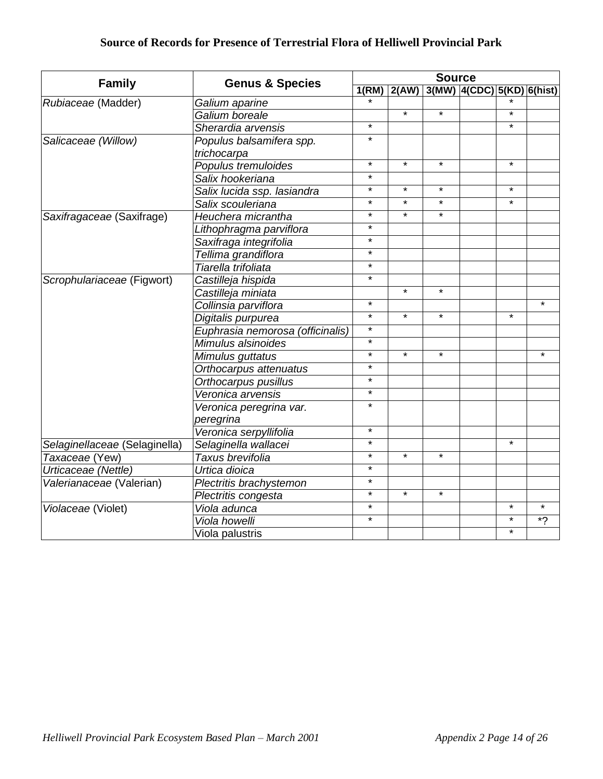| <b>Family</b>                 | <b>Genus &amp; Species</b>       | <b>Source</b> |         |         |                                |         |         |  |  |
|-------------------------------|----------------------------------|---------------|---------|---------|--------------------------------|---------|---------|--|--|
|                               |                                  | 1(RM)         | 2(AW)   |         | $3(MW)$ 4(CDC) $5(KD)$ 6(hist) |         |         |  |  |
| Rubiaceae (Madder)            | Galium aparine                   |               |         |         |                                |         |         |  |  |
|                               | Galium boreale                   |               | $\star$ | $\star$ |                                | $\star$ |         |  |  |
|                               | Sherardia arvensis               | $\star$       |         |         |                                | $\star$ |         |  |  |
| Salicaceae (Willow)           | Populus balsamifera spp.         | $\star$       |         |         |                                |         |         |  |  |
|                               | trichocarpa                      |               |         |         |                                |         |         |  |  |
|                               | Populus tremuloides              | $\star$       | $\star$ | $\star$ |                                | $\star$ |         |  |  |
|                               | Salix hookeriana                 | $\star$       |         |         |                                |         |         |  |  |
|                               | Salix lucida ssp. lasiandra      | $\star$       | $\star$ | $\star$ |                                | $\star$ |         |  |  |
|                               | Salix scouleriana                | $\star$       | $\star$ | $\star$ |                                | $\star$ |         |  |  |
| Saxifragaceae (Saxifrage)     | Heuchera micrantha               | $\star$       | $\star$ | $\star$ |                                |         |         |  |  |
|                               | Lithophragma parviflora          | $\star$       |         |         |                                |         |         |  |  |
|                               | Saxifraga integrifolia           | $\star$       |         |         |                                |         |         |  |  |
|                               | Tellima grandiflora              | $\star$       |         |         |                                |         |         |  |  |
|                               | Tiarella trifoliata              | $\star$       |         |         |                                |         |         |  |  |
| Scrophulariaceae (Figwort)    | Castilleja hispida               | $\star$       |         |         |                                |         |         |  |  |
|                               | Castilleja miniata               |               | $\star$ | $\star$ |                                |         |         |  |  |
|                               | Collinsia parviflora             | $\star$       |         |         |                                |         | $\star$ |  |  |
|                               | Digitalis purpurea               | $\star$       | $\star$ | $\star$ |                                | $\star$ |         |  |  |
|                               | Euphrasia nemorosa (officinalis) | $\star$       |         |         |                                |         |         |  |  |
|                               | Mimulus alsinoides               | $\star$       |         |         |                                |         |         |  |  |
|                               | Mimulus guttatus                 | $\star$       | $\star$ | $\star$ |                                |         | $\star$ |  |  |
|                               | Orthocarpus attenuatus           | $\star$       |         |         |                                |         |         |  |  |
|                               | Orthocarpus pusillus             | $\star$       |         |         |                                |         |         |  |  |
|                               | Veronica arvensis                | $\star$       |         |         |                                |         |         |  |  |
|                               | Veronica peregrina var.          | $\star$       |         |         |                                |         |         |  |  |
|                               | peregrina                        |               |         |         |                                |         |         |  |  |
|                               | Veronica serpyllifolia           | $\star$       |         |         |                                |         |         |  |  |
| Selaginellaceae (Selaginella) | Selaginella wallacei             | $\star$       |         |         |                                | $\star$ |         |  |  |
| Taxaceae (Yew)                | Taxus brevifolia                 | $\star$       | $\star$ | $\star$ |                                |         |         |  |  |
| Urticaceae (Nettle)           | Urtica dioica                    | $\star$       |         |         |                                |         |         |  |  |
| Valerianaceae (Valerian)      | Plectritis brachystemon          | $\star$       |         |         |                                |         |         |  |  |
|                               | Plectritis congesta              | $\star$       | $\star$ | $\star$ |                                |         |         |  |  |
| Violaceae (Violet)            | Viola adunca                     | $\star$       |         |         |                                | $\star$ | $\star$ |  |  |
|                               | Viola howelli                    | $\star$       |         |         |                                | $\star$ | $*$ ?   |  |  |
|                               | Viola palustris                  |               |         |         |                                | $\star$ |         |  |  |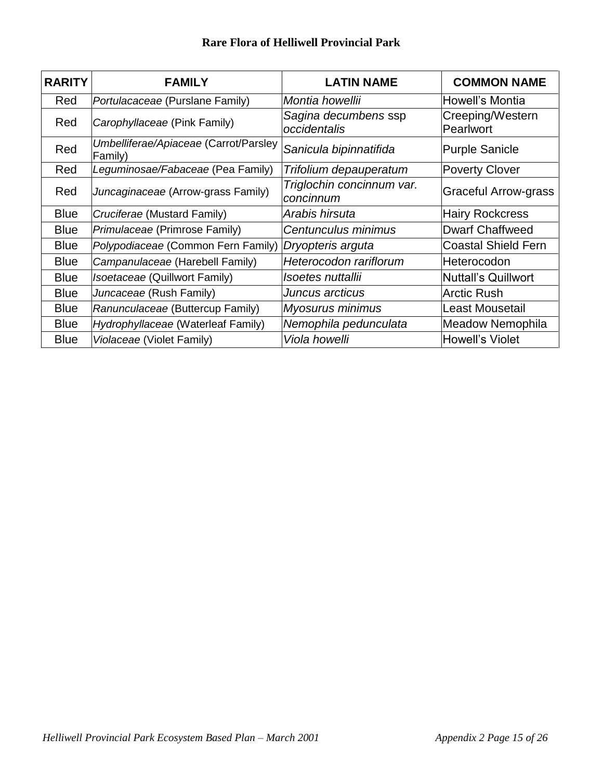| <b>RARITY</b> | <b>FAMILY</b>                                    | <b>LATIN NAME</b>                      | <b>COMMON NAME</b>            |
|---------------|--------------------------------------------------|----------------------------------------|-------------------------------|
| Red           | Portulacaceae (Purslane Family)                  | Montia howellii                        | Howell's Montia               |
| Red           | Carophyllaceae (Pink Family)                     | Sagina decumbens ssp<br>occidentalis   | Creeping/Western<br>Pearlwort |
| Red           | Umbelliferae/Apiaceae (Carrot/Parsley<br>Family) | Sanicula bipinnatifida                 | <b>Purple Sanicle</b>         |
| Red           | Leguminosae/Fabaceae (Pea Family)                | Trifolium depauperatum                 | <b>Poverty Clover</b>         |
| Red           | Juncaginaceae (Arrow-grass Family)               | Triglochin concinnum var.<br>concinnum | <b>Graceful Arrow-grass</b>   |
| <b>Blue</b>   | Cruciferae (Mustard Family)                      | Arabis hirsuta                         | <b>Hairy Rockcress</b>        |
| <b>Blue</b>   | Primulaceae (Primrose Family)                    | Centunculus minimus                    | <b>Dwarf Chaffweed</b>        |
| <b>Blue</b>   | Polypodiaceae (Common Fern Family)               | Dryopteris arguta                      | <b>Coastal Shield Fern</b>    |
| <b>Blue</b>   | Campanulaceae (Harebell Family)                  | Heterocodon rariflorum                 | Heterocodon                   |
| <b>Blue</b>   | Isoetaceae (Quillwort Family)                    | Isoetes nuttallii                      | <b>Nuttall's Quillwort</b>    |
| <b>Blue</b>   | Juncaceae (Rush Family)                          | Juncus arcticus                        | <b>Arctic Rush</b>            |
| <b>Blue</b>   | Ranunculaceae (Buttercup Family)                 | <b>Myosurus minimus</b>                | <b>Least Mousetail</b>        |
| <b>Blue</b>   | Hydrophyllaceae (Waterleaf Family)               | Nemophila pedunculata                  | Meadow Nemophila              |
| <b>Blue</b>   | Violaceae (Violet Family)                        | Viola howelli                          | Howell's Violet               |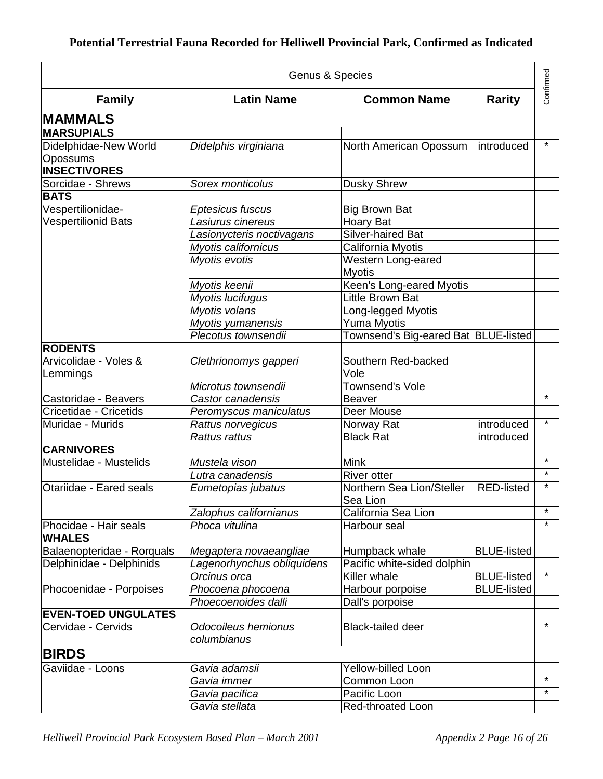|                            | Genus & Species            |                                      | Confirmed          |         |
|----------------------------|----------------------------|--------------------------------------|--------------------|---------|
| <b>Family</b>              | <b>Latin Name</b>          | <b>Common Name</b>                   | <b>Rarity</b>      |         |
| <b>MAMMALS</b>             |                            |                                      |                    |         |
| <b>MARSUPIALS</b>          |                            |                                      |                    |         |
| Didelphidae-New World      | Didelphis virginiana       | North American Opossum               | introduced         | $\star$ |
| Opossums                   |                            |                                      |                    |         |
| <b>INSECTIVORES</b>        |                            |                                      |                    |         |
| Sorcidae - Shrews          | Sorex monticolus           | <b>Dusky Shrew</b>                   |                    |         |
| <b>BATS</b>                |                            |                                      |                    |         |
| Vespertilionidae-          | Eptesicus fuscus           | <b>Big Brown Bat</b>                 |                    |         |
| <b>Vespertilionid Bats</b> | Lasiurus cinereus          | Hoary Bat                            |                    |         |
|                            | Lasionycteris noctivagans  | Silver-haired Bat                    |                    |         |
|                            | Myotis californicus        | California Myotis                    |                    |         |
|                            | Myotis evotis              | Western Long-eared                   |                    |         |
|                            |                            | <b>Myotis</b>                        |                    |         |
|                            | Myotis keenii              | Keen's Long-eared Myotis             |                    |         |
|                            | Myotis lucifugus           | Little Brown Bat                     |                    |         |
|                            | Myotis volans              | Long-legged Myotis                   |                    |         |
|                            | Myotis yumanensis          | Yuma Myotis                          |                    |         |
|                            | Plecotus townsendii        | Townsend's Big-eared Bat BLUE-listed |                    |         |
| <b>RODENTS</b>             |                            |                                      |                    |         |
| Arvicolidae - Voles &      | Clethrionomys gapperi      | Southern Red-backed                  |                    |         |
| Lemmings                   |                            | Vole                                 |                    |         |
|                            | Microtus townsendii        | <b>Townsend's Vole</b>               |                    |         |
| Castoridae - Beavers       | Castor canadensis          | <b>Beaver</b>                        |                    | $\star$ |
| Cricetidae - Cricetids     | Peromyscus maniculatus     | Deer Mouse                           |                    |         |
| Muridae - Murids           | Rattus norvegicus          | Norway Rat                           | introduced         | $\star$ |
|                            | Rattus rattus              | <b>Black Rat</b>                     | introduced         |         |
| <b>CARNIVORES</b>          |                            |                                      |                    |         |
| Mustelidae - Mustelids     | Mustela vison              | <b>Mink</b>                          |                    | $\star$ |
|                            | Lutra canadensis           | <b>River otter</b>                   |                    | $\star$ |
| Otariidae - Eared seals    | Eumetopias jubatus         | Northern Sea Lion/Steller            | <b>RED-listed</b>  | $\star$ |
|                            |                            | Sea Lion                             |                    |         |
|                            | Zalophus californianus     | California Sea Lion                  |                    | $\star$ |
| Phocidae - Hair seals      | Phoca vitulina             | Harbour seal                         |                    | $\star$ |
| <b>WHALES</b>              |                            |                                      |                    |         |
| Balaenopteridae - Rorquals | Megaptera novaeangliae     | Humpback whale                       | <b>BLUE-listed</b> |         |
| Delphinidae - Delphinids   | Lagenorhynchus obliquidens | Pacific white-sided dolphin          |                    |         |
|                            | Orcinus orca               | Killer whale                         | <b>BLUE-listed</b> | $\star$ |
| Phocoenidae - Porpoises    | Phocoena phocoena          | Harbour porpoise                     | <b>BLUE-listed</b> |         |
|                            | Phoecoenoides dalli        | Dall's porpoise                      |                    |         |
| <b>EVEN-TOED UNGULATES</b> |                            |                                      |                    |         |
| Cervidae - Cervids         | Odocoileus hemionus        | <b>Black-tailed deer</b>             |                    | $\star$ |
|                            | columbianus                |                                      |                    |         |
|                            |                            |                                      |                    |         |
| <b>BIRDS</b>               |                            |                                      |                    |         |
| Gaviidae - Loons           | Gavia adamsii              | Yellow-billed Loon                   |                    | $\star$ |
|                            | Gavia immer                | Common Loon                          |                    | $\star$ |
|                            | Gavia pacifica             | Pacific Loon                         |                    |         |
|                            | Gavia stellata             | Red-throated Loon                    |                    |         |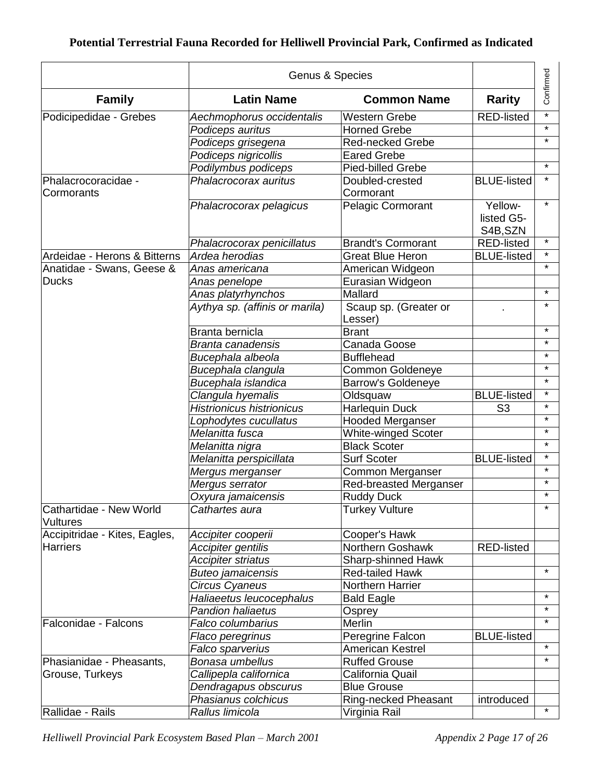|                                            | Genus & Species                  |                                  | Confirmed                         |         |
|--------------------------------------------|----------------------------------|----------------------------------|-----------------------------------|---------|
| <b>Family</b>                              | <b>Latin Name</b>                | <b>Common Name</b>               | <b>Rarity</b>                     |         |
| Podicipedidae - Grebes                     | Aechmophorus occidentalis        | <b>Western Grebe</b>             | <b>RED-listed</b>                 | $\star$ |
|                                            | Podiceps auritus                 | <b>Horned Grebe</b>              |                                   | $\star$ |
|                                            | Podiceps grisegena               | <b>Red-necked Grebe</b>          |                                   | $\star$ |
|                                            | Podiceps nigricollis             | <b>Eared Grebe</b>               |                                   |         |
|                                            | Podilymbus podiceps              | <b>Pied-billed Grebe</b>         |                                   | $\star$ |
| Phalacrocoracidae -<br>Cormorants          | Phalacrocorax auritus            | Doubled-crested<br>Cormorant     | <b>BLUE-listed</b>                | $\star$ |
|                                            | Phalacrocorax pelagicus          | <b>Pelagic Cormorant</b>         | Yellow-<br>listed G5-<br>S4B, SZN | $\star$ |
|                                            | Phalacrocorax penicillatus       | <b>Brandt's Cormorant</b>        | <b>RED-listed</b>                 | $\star$ |
| Ardeidae - Herons & Bitterns               | Ardea herodias                   | <b>Great Blue Heron</b>          | <b>BLUE-listed</b>                | $\star$ |
| Anatidae - Swans, Geese &                  | Anas americana                   | American Widgeon                 |                                   | $\star$ |
| <b>Ducks</b>                               | Anas penelope                    | Eurasian Widgeon                 |                                   |         |
|                                            | Anas platyrhynchos               | Mallard                          |                                   | $\star$ |
|                                            | Aythya sp. (affinis or marila)   | Scaup sp. (Greater or<br>Lesser) |                                   | $\star$ |
|                                            | Branta bernicla                  | <b>Brant</b>                     |                                   | $\star$ |
|                                            | Branta canadensis                | Canada Goose                     |                                   | $\star$ |
|                                            | Bucephala albeola                | <b>Bufflehead</b>                |                                   | $\star$ |
|                                            | Bucephala clangula               | <b>Common Goldeneye</b>          |                                   | $\star$ |
|                                            | Bucephala islandica              | <b>Barrow's Goldeneye</b>        |                                   | $\star$ |
|                                            | Clangula hyemalis                | Oldsquaw                         | <b>BLUE-listed</b>                | $\star$ |
|                                            | <b>Histrionicus histrionicus</b> | <b>Harlequin Duck</b>            | S <sub>3</sub>                    | $\star$ |
|                                            | Lophodytes cucullatus            | <b>Hooded Merganser</b>          |                                   | $\star$ |
|                                            | Melanitta fusca                  | <b>White-winged Scoter</b>       |                                   | $\star$ |
|                                            | Melanitta nigra                  | <b>Black Scoter</b>              |                                   | $\star$ |
|                                            | Melanitta perspicillata          | Surf Scoter                      | <b>BLUE-listed</b>                | $\star$ |
|                                            | Mergus merganser                 | Common Merganser                 |                                   | $\star$ |
|                                            | Mergus serrator                  | Red-breasted Merganser           |                                   | $\star$ |
|                                            | Oxyura jamaicensis               | <b>Ruddy Duck</b>                |                                   | $\star$ |
| Cathartidae - New World<br><b>Vultures</b> | Cathartes aura                   | <b>Turkey Vulture</b>            |                                   | $\star$ |
| Accipitridae - Kites, Eagles,              | Accipiter cooperii               | Cooper's Hawk                    |                                   |         |
| <b>Harriers</b>                            | Accipiter gentilis               | Northern Goshawk                 | <b>RED-listed</b>                 |         |
|                                            | Accipiter striatus               | <b>Sharp-shinned Hawk</b>        |                                   |         |
|                                            | <b>Buteo jamaicensis</b>         | <b>Red-tailed Hawk</b>           |                                   | $\star$ |
|                                            | Circus Cyaneus                   | Northern Harrier                 |                                   |         |
|                                            | Haliaeetus leucocephalus         | <b>Bald Eagle</b>                |                                   | $\star$ |
|                                            | Pandion haliaetus                | Osprey                           |                                   | $\star$ |
| Falconidae - Falcons                       | Falco columbarius                | Merlin                           |                                   | $\star$ |
|                                            | Flaco peregrinus                 | Peregrine Falcon                 | <b>BLUE-listed</b>                |         |
|                                            | Falco sparverius                 | American Kestrel                 |                                   | $\star$ |
| Phasianidae - Pheasants,                   | Bonasa umbellus                  | <b>Ruffed Grouse</b>             |                                   | $\star$ |
| Grouse, Turkeys                            | Callipepla californica           | California Quail                 |                                   |         |
|                                            | Dendragapus obscurus             | <b>Blue Grouse</b>               |                                   |         |
|                                            | Phasianus colchicus              | Ring-necked Pheasant             | introduced                        |         |
| Rallidae - Rails                           | Rallus limicola                  | Virginia Rail                    |                                   | $\star$ |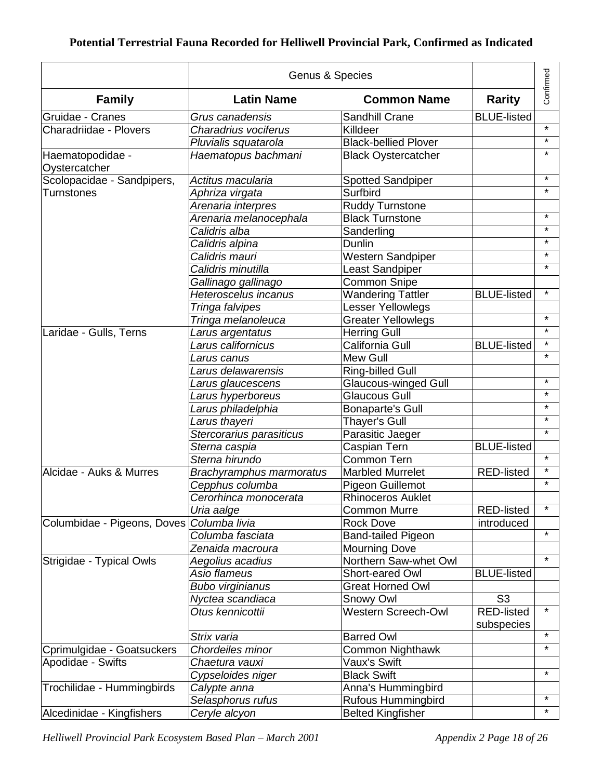|                                   | Genus & Species                      |                                  |                                     | Confirmed |
|-----------------------------------|--------------------------------------|----------------------------------|-------------------------------------|-----------|
| <b>Family</b>                     | <b>Latin Name</b>                    | <b>Common Name</b>               | <b>Rarity</b>                       |           |
| Gruidae - Cranes                  | Grus canadensis                      | Sandhill Crane                   | <b>BLUE-listed</b>                  |           |
| Charadriidae - Plovers            | Charadrius vociferus                 | Killdeer                         |                                     | $\star$   |
|                                   | Pluvialis squatarola                 | <b>Black-bellied Plover</b>      |                                     | $\star$   |
| Haematopodidae -<br>Oystercatcher | Haematopus bachmani                  | <b>Black Oystercatcher</b>       |                                     | $\star$   |
| Scolopacidae - Sandpipers,        | Actitus macularia                    | <b>Spotted Sandpiper</b>         |                                     | $\star$   |
| <b>Turnstones</b>                 | Aphriza virgata                      | Surfbird                         |                                     | $\star$   |
|                                   | Arenaria interpres                   | <b>Ruddy Turnstone</b>           |                                     |           |
|                                   | Arenaria melanocephala               | <b>Black Turnstone</b>           |                                     | $\star$   |
|                                   | Calidris alba                        | Sanderling                       |                                     | $\star$   |
|                                   | Calidris alpina                      | Dunlin                           |                                     | $\star$   |
|                                   | Calidris mauri                       | Western Sandpiper                |                                     | $\star$   |
|                                   | Calidris minutilla                   | Least Sandpiper                  |                                     | $\star$   |
|                                   | Gallinago gallinago                  | <b>Common Snipe</b>              |                                     |           |
|                                   | <b>Heteroscelus incanus</b>          | <b>Wandering Tattler</b>         | <b>BLUE-listed</b>                  | $\star$   |
|                                   | Tringa falvipes                      | Lesser Yellowlegs                |                                     |           |
|                                   | Tringa melanoleuca                   | <b>Greater Yellowlegs</b>        |                                     | $\star$   |
| Laridae - Gulls, Terns            | Larus argentatus                     | Herring Gull                     |                                     | $\star$   |
|                                   | Larus californicus                   | California Gull                  | <b>BLUE-listed</b>                  | $\star$   |
|                                   | Larus canus                          | Mew Gull                         |                                     | $\star$   |
|                                   | Larus delawarensis                   | Ring-billed Gull                 |                                     |           |
|                                   | Larus glaucescens                    | <b>Glaucous-winged Gull</b>      |                                     | $\star$   |
|                                   | Larus hyperboreus                    | <b>Glaucous Gull</b>             |                                     | $\star$   |
|                                   | Larus philadelphia                   | <b>Bonaparte's Gull</b>          |                                     | $\star$   |
|                                   | Larus thayeri                        | <b>Thayer's Gull</b>             |                                     | $\star$   |
|                                   | Stercorarius parasiticus             | Parasitic Jaeger                 |                                     | $\star$   |
|                                   | Sterna caspia                        | Caspian Tern                     | <b>BLUE-listed</b>                  |           |
|                                   | Sterna hirundo                       | <b>Common Tern</b>               |                                     | $\star$   |
| Alcidae - Auks & Murres           | Brachyramphus marmoratus             | <b>Marbled Murrelet</b>          | <b>RED-listed</b>                   | $\star$   |
|                                   | Cepphus columba                      | Pigeon Guillemot                 |                                     | $\star$   |
|                                   | Cerorhinca monocerata                | <b>Rhinoceros Auklet</b>         |                                     |           |
|                                   | Uria aalge                           | <b>Common Murre</b>              | <b>RED-listed</b>                   | $\star$   |
| Columbidae - Pigeons, Doves       | Columba livia                        | <b>Rock Dove</b>                 | introduced                          |           |
|                                   | Columba fasciata                     | <b>Band-tailed Pigeon</b>        |                                     | $\star$   |
|                                   | Zenaida macroura                     | <b>Mourning Dove</b>             |                                     |           |
| Strigidae - Typical Owls          |                                      | Northern Saw-whet Owl            |                                     | $\star$   |
|                                   | Aegolius acadius<br>Asio flameus     | Short-eared Owl                  | <b>BLUE-listed</b>                  |           |
|                                   | <b>Bubo virginianus</b>              | <b>Great Horned Owl</b>          |                                     |           |
|                                   |                                      |                                  |                                     |           |
|                                   | Nyctea scandiaca<br>Otus kennicottii | Snowy Owl<br>Western Screech-Owl | S <sub>3</sub><br><b>RED-listed</b> | $\star$   |
|                                   |                                      |                                  | subspecies                          |           |
|                                   | Strix varia                          | <b>Barred Owl</b>                |                                     | $\star$   |
| Cprimulgidae - Goatsuckers        | Chordeiles minor                     | Common Nighthawk                 |                                     | $\star$   |
| Apodidae - Swifts                 | Chaetura vauxi                       | Vaux's Swift                     |                                     |           |
|                                   | Cypseloides niger                    | <b>Black Swift</b>               |                                     | $\star$   |
| Trochilidae - Hummingbirds        | Calypte anna                         | Anna's Hummingbird               |                                     |           |
|                                   | Selasphorus rufus                    | Rufous Hummingbird               |                                     | $\star$   |
| Alcedinidae - Kingfishers         | Ceryle alcyon                        | <b>Belted Kingfisher</b>         |                                     | $\star$   |
|                                   |                                      |                                  |                                     |           |

*Helliwell Provincial Park Ecosystem Based Plan – March 2001 Appendix 2 Page 18 of 26*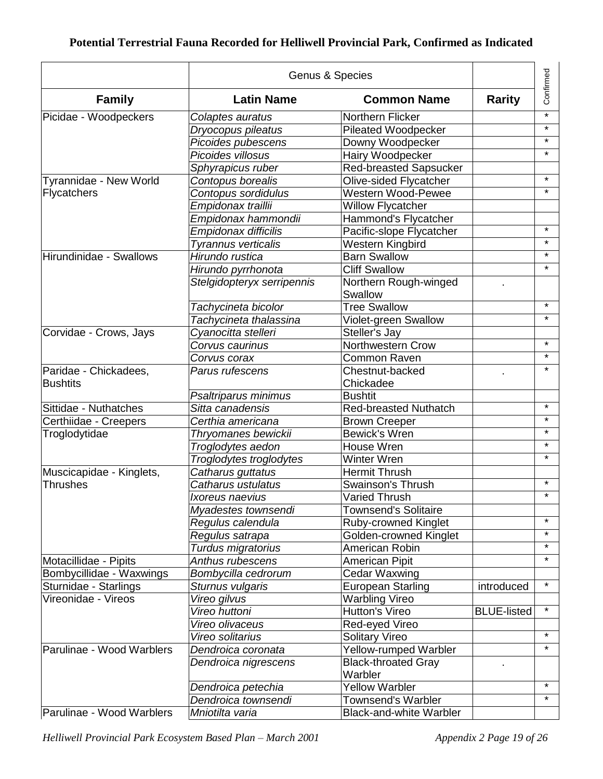|                           | Genus & Species            |                                       |                    |           |
|---------------------------|----------------------------|---------------------------------------|--------------------|-----------|
| <b>Family</b>             | <b>Latin Name</b>          | <b>Common Name</b>                    | <b>Rarity</b>      | Confirmed |
| Picidae - Woodpeckers     | Colaptes auratus           | <b>Northern Flicker</b>               |                    | $\star$   |
|                           | Dryocopus pileatus         | <b>Pileated Woodpecker</b>            |                    | $\star$   |
|                           | Picoides pubescens         | Downy Woodpecker                      |                    | $\star$   |
|                           | Picoides villosus          | Hairy Woodpecker                      |                    | $\star$   |
|                           | Sphyrapicus ruber          | <b>Red-breasted Sapsucker</b>         |                    |           |
| Tyrannidae - New World    | Contopus borealis          | Olive-sided Flycatcher                |                    | $\star$   |
| Flycatchers               | Contopus sordidulus        | Western Wood-Pewee                    |                    | $\star$   |
|                           | Empidonax traillii         | <b>Willow Flycatcher</b>              |                    |           |
|                           | Empidonax hammondii        | Hammond's Flycatcher                  |                    |           |
|                           | Empidonax difficilis       | Pacific-slope Flycatcher              |                    | $\star$   |
|                           | <b>Tyrannus verticalis</b> | Western Kingbird                      |                    | $\star$   |
| Hirundinidae - Swallows   | Hirundo rustica            | <b>Barn Swallow</b>                   |                    | $\star$   |
|                           | Hirundo pyrrhonota         | <b>Cliff Swallow</b>                  |                    | $\star$   |
|                           | Stelgidopteryx serripennis | Northern Rough-winged                 |                    |           |
|                           |                            | Swallow                               |                    |           |
|                           | Tachycineta bicolor        | <b>Tree Swallow</b>                   |                    | $\star$   |
|                           | Tachycineta thalassina     | Violet-green Swallow                  |                    | $\star$   |
| Corvidae - Crows, Jays    | Cyanocitta stelleri        | Steller's Jay                         |                    |           |
|                           | Corvus caurinus            | <b>Northwestern Crow</b>              |                    | $\star$   |
|                           | Corvus corax               | Common Raven                          |                    | $\star$   |
| Paridae - Chickadees,     | Parus rufescens            | Chestnut-backed                       |                    | $\star$   |
| <b>Bushtits</b>           |                            | Chickadee                             |                    |           |
|                           | Psaltriparus minimus       | <b>Bushtit</b>                        |                    |           |
| Sittidae - Nuthatches     | Sitta canadensis           | <b>Red-breasted Nuthatch</b>          |                    | $\star$   |
| Certhiidae - Creepers     | Certhia americana          | <b>Brown Creeper</b>                  |                    | $\star$   |
| Troglodytidae             | Thryomanes bewickii        | <b>Bewick's Wren</b>                  |                    | $\star$   |
|                           | Troglodytes aedon          | House Wren                            |                    | $\star$   |
|                           | Troglodytes troglodytes    | Winter Wren                           |                    | $\star$   |
| Muscicapidae - Kinglets,  | Catharus guttatus          | <b>Hermit Thrush</b>                  |                    |           |
| <b>Thrushes</b>           | Catharus ustulatus         | Swainson's Thrush                     |                    | $\star$   |
|                           | <i>Ixoreus naevius</i>     | <b>Varied Thrush</b>                  |                    | $\star$   |
|                           | Myadestes townsendi        | <b>Townsend's Solitaire</b>           |                    |           |
|                           | Regulus calendula          | <b>Ruby-crowned Kinglet</b>           |                    | $\star$   |
|                           | Regulus satrapa            | Golden-crowned Kinglet                |                    | $\star$   |
|                           | Turdus migratorius         | American Robin                        |                    | $\star$   |
| Motacillidae - Pipits     | Anthus rubescens           | American Pipit                        |                    | $\star$   |
| Bombycillidae - Waxwings  | Bombycilla cedrorum        | Cedar Waxwing                         |                    |           |
| Sturnidae - Starlings     | Sturnus vulgaris           | European Starling                     | introduced         | $\star$   |
| Vireonidae - Vireos       | Vireo gilvus               | <b>Warbling Vireo</b>                 |                    |           |
|                           | Vireo huttoni              | Hutton's Vireo                        | <b>BLUE-listed</b> | $\star$   |
|                           | Vireo olivaceus            | Red-eyed Vireo                        |                    |           |
|                           | Vireo solitarius           | <b>Solitary Vireo</b>                 |                    | $\star$   |
| Parulinae - Wood Warblers | Dendroica coronata         | Yellow-rumped Warbler                 |                    | $\star$   |
|                           | Dendroica nigrescens       | <b>Black-throated Gray</b><br>Warbler |                    |           |
|                           | Dendroica petechia         | <b>Yellow Warbler</b>                 |                    | $\star$   |
|                           | Dendroica townsendi        | Townsend's Warbler                    |                    | $\star$   |
| Parulinae - Wood Warblers | Mniotilta varia            | <b>Black-and-white Warbler</b>        |                    |           |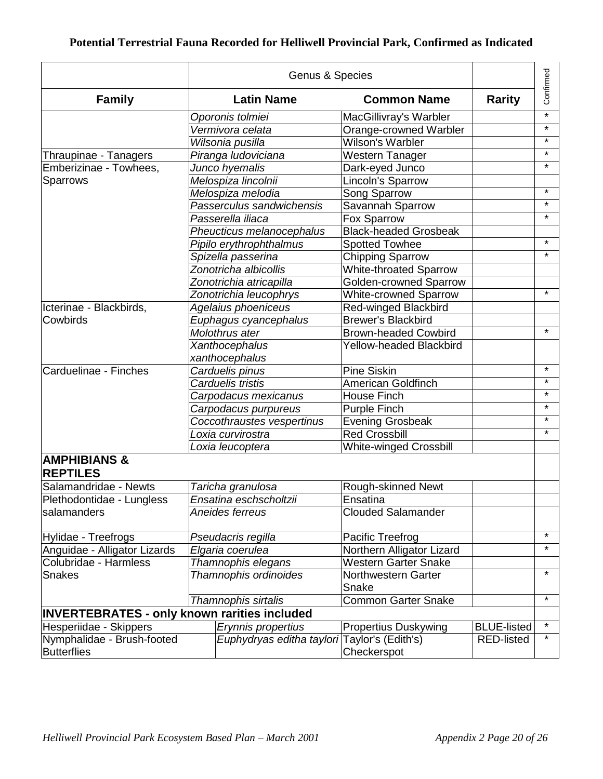|                                                     |  |                            | Confirmed                     |                    |         |
|-----------------------------------------------------|--|----------------------------|-------------------------------|--------------------|---------|
| <b>Family</b>                                       |  | <b>Latin Name</b>          | <b>Common Name</b>            | <b>Rarity</b>      |         |
|                                                     |  | Oporonis tolmiei           | MacGillivray's Warbler        |                    | $\star$ |
|                                                     |  | Vermivora celata           | Orange-crowned Warbler        |                    | $\star$ |
|                                                     |  | Wilsonia pusilla           | Wilson's Warbler              |                    | $\star$ |
| Thraupinae - Tanagers                               |  | Piranga ludoviciana        | Western Tanager               |                    | $\star$ |
| Emberizinae - Towhees,                              |  | Junco hyemalis             | Dark-eyed Junco               |                    | $\star$ |
| Sparrows                                            |  | Melospiza lincolnii        | Lincoln's Sparrow             |                    |         |
|                                                     |  | Melospiza melodia          | Song Sparrow                  |                    | $\star$ |
|                                                     |  | Passerculus sandwichensis  | Savannah Sparrow              |                    | $\star$ |
|                                                     |  | Passerella iliaca          | <b>Fox Sparrow</b>            |                    | $\star$ |
|                                                     |  | Pheucticus melanocephalus  | <b>Black-headed Grosbeak</b>  |                    |         |
|                                                     |  | Pipilo erythrophthalmus    | <b>Spotted Towhee</b>         |                    | $\star$ |
|                                                     |  | Spizella passerina         | <b>Chipping Sparrow</b>       |                    | $\star$ |
|                                                     |  | Zonotricha albicollis      | <b>White-throated Sparrow</b> |                    |         |
|                                                     |  | Zonotrichia atricapilla    | <b>Golden-crowned Sparrow</b> |                    |         |
|                                                     |  | Zonotrichia leucophrys     | <b>White-crowned Sparrow</b>  |                    | $\star$ |
| Icterinae - Blackbirds,                             |  | Agelaius phoeniceus        | Red-winged Blackbird          |                    |         |
| Cowbirds                                            |  | Euphagus cyancephalus      | <b>Brewer's Blackbird</b>     |                    |         |
|                                                     |  | Molothrus ater             | <b>Brown-headed Cowbird</b>   |                    | $\star$ |
|                                                     |  | Xanthocephalus             | Yellow-headed Blackbird       |                    |         |
|                                                     |  | xanthocephalus             |                               |                    |         |
| Carduelinae - Finches                               |  | Carduelis pinus            | <b>Pine Siskin</b>            |                    | $\star$ |
|                                                     |  | Carduelis tristis          | <b>American Goldfinch</b>     |                    | $\star$ |
|                                                     |  | Carpodacus mexicanus       | <b>House Finch</b>            |                    | $\star$ |
|                                                     |  | Carpodacus purpureus       | <b>Purple Finch</b>           |                    | $\star$ |
|                                                     |  | Coccothraustes vespertinus | <b>Evening Grosbeak</b>       |                    | $\star$ |
|                                                     |  | Loxia curvirostra          | <b>Red Crossbill</b>          |                    | $\star$ |
|                                                     |  | Loxia leucoptera           | <b>White-winged Crossbill</b> |                    |         |
| <b>AMPHIBIANS &amp;</b><br><b>REPTILES</b>          |  |                            |                               |                    |         |
| Salamandridae - Newts                               |  | Taricha granulosa          | Rough-skinned Newt            |                    |         |
| Plethodontidae - Lungless                           |  | Ensatina eschscholtzii     | Ensatina                      |                    |         |
| salamanders                                         |  | Aneides ferreus            | <b>Clouded Salamander</b>     |                    |         |
| Hylidae - Treefrogs                                 |  | Pseudacris regilla         | Pacific Treefrog              |                    | $\star$ |
| Anguidae - Alligator Lizards                        |  | Elgaria coerulea           | Northern Alligator Lizard     |                    | $\star$ |
| Colubridae - Harmless                               |  | Thamnophis elegans         | Western Garter Snake          |                    |         |
| <b>Snakes</b>                                       |  | Thamnophis ordinoides      | Northwestern Garter           |                    | $\star$ |
|                                                     |  |                            | Snake                         |                    |         |
|                                                     |  | Thamnophis sirtalis        | <b>Common Garter Snake</b>    |                    | $\star$ |
| <b>INVERTEBRATES - only known rarities included</b> |  |                            |                               |                    |         |
| Hesperiidae - Skippers                              |  | Erynnis propertius         | <b>Propertius Duskywing</b>   | <b>BLUE-listed</b> | $\star$ |
| Nymphalidae - Brush-footed                          |  | Euphydryas editha taylori  | Taylor's (Edith's)            | <b>RED-listed</b>  | $\star$ |
| <b>Butterflies</b>                                  |  |                            | Checkerspot                   |                    |         |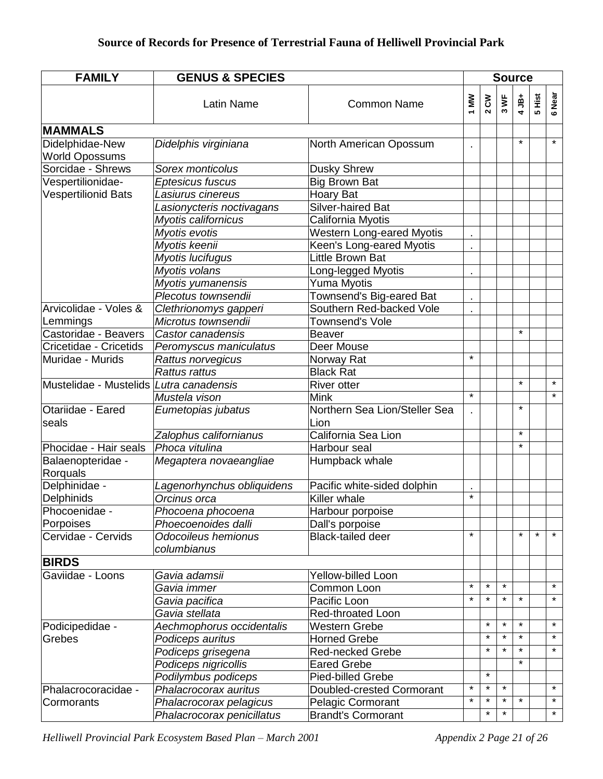| <b>FAMILY</b>                                  | <b>GENUS &amp; SPECIES</b>         |                                       |          |             |                              |         | <b>Source</b> |         |
|------------------------------------------------|------------------------------------|---------------------------------------|----------|-------------|------------------------------|---------|---------------|---------|
|                                                | <b>Latin Name</b>                  | <b>Common Name</b>                    | ΜW       | $2^{\circ}$ | $\overline{\mathbf{x}}$<br>ო | $4JB+$  | 5 Hist        | 6 Near  |
| <b>MAMMALS</b>                                 |                                    |                                       |          |             |                              |         |               |         |
| Didelphidae-New                                | Didelphis virginiana               | North American Opossum                |          |             |                              | $\star$ |               | $\star$ |
| <b>World Opossums</b>                          |                                    |                                       |          |             |                              |         |               |         |
| Sorcidae - Shrews                              | Sorex monticolus                   | <b>Dusky Shrew</b>                    |          |             |                              |         |               |         |
| Vespertilionidae-                              | Eptesicus fuscus                   | <b>Big Brown Bat</b>                  |          |             |                              |         |               |         |
| <b>Vespertilionid Bats</b>                     | Lasiurus cinereus                  | Hoary Bat                             |          |             |                              |         |               |         |
|                                                | Lasionycteris noctivagans          | Silver-haired Bat                     |          |             |                              |         |               |         |
|                                                | Myotis californicus                | California Myotis                     |          |             |                              |         |               |         |
|                                                | Myotis evotis                      | <b>Western Long-eared Myotis</b>      |          |             |                              |         |               |         |
|                                                | Myotis keenii                      | Keen's Long-eared Myotis              |          |             |                              |         |               |         |
|                                                | Myotis lucifugus                   | Little Brown Bat                      |          |             |                              |         |               |         |
|                                                | Myotis volans                      | Long-legged Myotis                    |          |             |                              |         |               |         |
|                                                | Myotis yumanensis                  | Yuma Myotis                           |          |             |                              |         |               |         |
|                                                | Plecotus townsendii                | Townsend's Big-eared Bat              |          |             |                              |         |               |         |
| Arvicolidae - Voles &                          | Clethrionomys gapperi              | Southern Red-backed Vole              |          |             |                              |         |               |         |
| Lemmings                                       | Microtus townsendii                | Townsend's Vole                       |          |             |                              |         |               |         |
| Castoridae - Beavers                           | Castor canadensis                  | <b>Beaver</b>                         |          |             |                              | $\star$ |               |         |
| Cricetidae - Cricetids                         | Peromyscus maniculatus             | Deer Mouse                            |          |             |                              |         |               |         |
| Muridae - Murids                               | Rattus norvegicus                  | Norway Rat                            | $\star$  |             |                              |         |               |         |
|                                                | <b>Rattus rattus</b>               | <b>Black Rat</b>                      |          |             |                              |         |               |         |
| Mustelidae - Mustelids <i>Lutra canadensis</i> |                                    | <b>River otter</b>                    |          |             |                              | $\star$ |               | $\star$ |
|                                                | Mustela vison                      | <b>Mink</b>                           | $\star$  |             |                              |         |               | $\star$ |
| Otariidae - Eared<br>seals                     | Eumetopias jubatus                 | Northern Sea Lion/Steller Sea<br>Lion |          |             |                              | $\star$ |               |         |
|                                                | Zalophus californianus             | California Sea Lion                   |          |             |                              | $\star$ |               |         |
| Phocidae - Hair seals                          | Phoca vitulina                     | Harbour seal                          |          |             |                              | $\star$ |               |         |
| Balaenopteridae -<br>Rorquals                  | Megaptera novaeangliae             | Humpback whale                        |          |             |                              |         |               |         |
| Delphinidae -                                  | Lagenorhynchus obliquidens         | Pacific white-sided dolphin           |          |             |                              |         |               |         |
| Delphinids                                     | Orcinus orca                       | Killer whale                          | $\star$  |             |                              |         |               |         |
| Phocoenidae -                                  | Phocoena phocoena                  | Harbour porpoise                      |          |             |                              |         |               |         |
| Porpoises                                      | Phoecoenoides dalli                | Dall's porpoise                       |          |             |                              |         |               |         |
| Cervidae - Cervids                             | Odocoileus hemionus<br>columbianus | <b>Black-tailed deer</b>              | $\star$  |             |                              | $\star$ | $\star$       | $\star$ |
| <b>BIRDS</b>                                   |                                    |                                       |          |             |                              |         |               |         |
| Gaviidae - Loons                               | Gavia adamsii                      | Yellow-billed Loon                    |          |             |                              |         |               |         |
|                                                | Gavia immer                        | Common Loon                           | $\star$  | $\star$     | $\star$                      |         |               | $\star$ |
|                                                | Gavia pacifica                     | Pacific Loon                          | $\star$  | $\star$     | $\star$                      | $\star$ |               | $\star$ |
|                                                | Gavia stellata                     | Red-throated Loon                     |          |             |                              |         |               |         |
| Podicipedidae -                                | Aechmophorus occidentalis          | <b>Western Grebe</b>                  |          | $\star$     | $\star$                      | $\star$ |               | $\star$ |
| Grebes                                         | Podiceps auritus                   | <b>Horned Grebe</b>                   |          | $\star$     | $\star$                      | $\star$ |               | $\star$ |
|                                                | Podiceps grisegena                 | <b>Red-necked Grebe</b>               |          | $\star$     | $\star$                      | $\star$ |               | $\star$ |
|                                                | Podiceps nigricollis               | <b>Eared Grebe</b>                    |          |             |                              | $\star$ |               |         |
|                                                | Podilymbus podiceps                | Pied-billed Grebe                     |          | $\star$     |                              |         |               |         |
| Phalacrocoracidae -                            | Phalacrocorax auritus              | Doubled-crested Cormorant             | $\star$  | $\star$     | $\star$                      |         |               | $\star$ |
| Cormorants                                     | Phalacrocorax pelagicus            | <b>Pelagic Cormorant</b>              | $^\star$ | $\star$     | $\star$                      | $\star$ |               | $\star$ |
|                                                | Phalacrocorax penicillatus         | <b>Brandt's Cormorant</b>             |          | $\star$     | $\star$                      |         |               | $\star$ |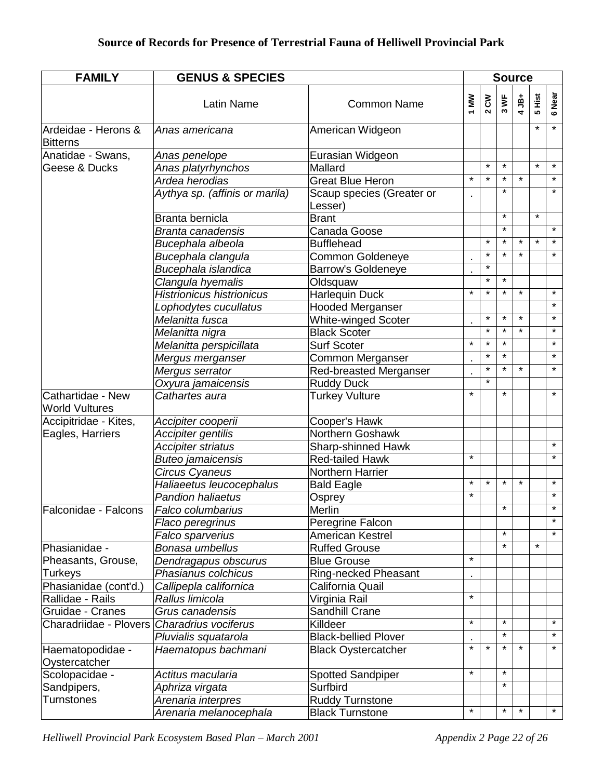| <b>FAMILY</b>                              | <b>GENUS &amp; SPECIES</b>       |                                      |         | <b>Source</b> |         |         |         |         |  |  |
|--------------------------------------------|----------------------------------|--------------------------------------|---------|---------------|---------|---------|---------|---------|--|--|
|                                            | <b>Latin Name</b>                | <b>Common Name</b>                   | 1 MW    | $2^{\circ}$   | 3 WF    | $4$ JB+ | 5 Hist  | 6 Near  |  |  |
| Ardeidae - Herons &<br><b>Bitterns</b>     | Anas americana                   | American Widgeon                     |         |               |         |         | $\star$ | $\star$ |  |  |
| Anatidae - Swans,                          | Anas penelope                    | Eurasian Widgeon                     |         |               |         |         |         |         |  |  |
| Geese & Ducks                              | Anas platyrhynchos               | Mallard                              |         | $\star$       | $\star$ |         | $\star$ | $\star$ |  |  |
|                                            | Ardea herodias                   | <b>Great Blue Heron</b>              | $\star$ | $\star$       | $\star$ | $\star$ |         | $\star$ |  |  |
|                                            | Aythya sp. (affinis or marila)   | Scaup species (Greater or<br>Lesser) |         |               | $\star$ |         |         | $\star$ |  |  |
|                                            | Branta bernicla                  | <b>Brant</b>                         |         |               | $\star$ |         | $\star$ |         |  |  |
|                                            | <b>Branta canadensis</b>         | Canada Goose                         |         |               | $\star$ |         |         | $\star$ |  |  |
|                                            | Bucephala albeola                | <b>Bufflehead</b>                    |         | $\star$       | $\star$ | $\star$ | $\star$ | $\star$ |  |  |
|                                            | Bucephala clangula               | Common Goldeneye                     |         | $\star$       | $\star$ | $\star$ |         | $\star$ |  |  |
|                                            | Bucephala islandica              | <b>Barrow's Goldeneye</b>            |         | $\star$       |         |         |         |         |  |  |
|                                            | Clangula hyemalis                | Oldsquaw                             |         | $\star$       | $\star$ |         |         |         |  |  |
|                                            | <b>Histrionicus histrionicus</b> | Harlequin Duck                       | $\star$ | $\star$       | $\star$ | $\star$ |         | $\star$ |  |  |
|                                            | Lophodytes cucullatus            | Hooded Merganser                     |         |               |         |         |         | $\star$ |  |  |
|                                            | Melanitta fusca                  | <b>White-winged Scoter</b>           |         | $\star$       | $\star$ | $\star$ |         | $\star$ |  |  |
|                                            | Melanitta nigra                  | <b>Black Scoter</b>                  |         | $\star$       | $\star$ | $\star$ |         | $\star$ |  |  |
|                                            | Melanitta perspicillata          | <b>Surf Scoter</b>                   | $\star$ | $\star$       | $\star$ |         |         | $\star$ |  |  |
|                                            | Mergus merganser                 | Common Merganser                     |         | $\star$       | $\star$ |         |         | $\star$ |  |  |
|                                            | Mergus serrator                  | <b>Red-breasted Merganser</b>        |         | $\star$       | $\star$ | $\star$ |         | $\star$ |  |  |
|                                            | Oxyura jamaicensis               | <b>Ruddy Duck</b>                    |         | $\star$       |         |         |         |         |  |  |
| Cathartidae - New<br><b>World Vultures</b> | Cathartes aura                   | <b>Turkey Vulture</b>                | $\star$ |               | $\star$ |         |         | $\star$ |  |  |
| Accipitridae - Kites,                      | Accipiter cooperii               | Cooper's Hawk                        |         |               |         |         |         |         |  |  |
| Eagles, Harriers                           | Accipiter gentilis               | Northern Goshawk                     |         |               |         |         |         |         |  |  |
|                                            | <b>Accipiter striatus</b>        | Sharp-shinned Hawk                   |         |               |         |         |         | $\star$ |  |  |
|                                            | <b>Buteo jamaicensis</b>         | <b>Red-tailed Hawk</b>               | $\star$ |               |         |         |         | $\star$ |  |  |
|                                            | Circus Cyaneus                   | Northern Harrier                     |         |               |         |         |         |         |  |  |
|                                            | Haliaeetus leucocephalus         | <b>Bald Eagle</b>                    | $\star$ | $\star$       | $\star$ | $\star$ |         | $\star$ |  |  |
|                                            | <b>Pandion haliaetus</b>         | Osprey                               | $\star$ |               |         |         |         | $\star$ |  |  |
| Falconidae - Falcons                       | Falco columbarius                | Merlin                               |         |               | $\star$ |         |         | $\star$ |  |  |
|                                            | Flaco peregrinus                 | Peregrine Falcon                     |         |               |         |         |         | $\star$ |  |  |
|                                            | Falco sparverius                 | American Kestrel                     |         |               | $\star$ |         |         | $\star$ |  |  |
| Phasianidae -                              | Bonasa umbellus                  | <b>Ruffed Grouse</b>                 |         |               | $\star$ |         | $\star$ |         |  |  |
| Pheasants, Grouse,                         | Dendragapus obscurus             | <b>Blue Grouse</b>                   | $\star$ |               |         |         |         |         |  |  |
| Turkeys                                    | Phasianus colchicus              | Ring-necked Pheasant                 |         |               |         |         |         |         |  |  |
| Phasianidae (cont'd.)                      | Callipepla californica           | California Quail                     |         |               |         |         |         |         |  |  |
| Rallidae - Rails                           | Rallus limicola                  | Virginia Rail                        | $\star$ |               |         |         |         |         |  |  |
| Gruidae - Cranes                           | Grus canadensis                  | Sandhill Crane                       |         |               |         |         |         |         |  |  |
| Charadriidae - Plovers                     | Charadrius vociferus             | Killdeer                             | $\star$ |               | $\star$ |         |         | $\star$ |  |  |
|                                            | Pluvialis squatarola             | <b>Black-bellied Plover</b>          |         |               | $\star$ |         |         | $\star$ |  |  |
| Haematopodidae -<br>Oystercatcher          | Haematopus bachmani              | <b>Black Oystercatcher</b>           | $\star$ | $\star$       | $\star$ | *       |         | $\star$ |  |  |
| Scolopacidae -                             | Actitus macularia                | <b>Spotted Sandpiper</b>             | $\star$ |               | $\star$ |         |         |         |  |  |
| Sandpipers,                                | Aphriza virgata                  | Surfbird                             |         |               | $\star$ |         |         |         |  |  |
| <b>Turnstones</b>                          | Arenaria interpres               | <b>Ruddy Turnstone</b>               |         |               |         |         |         |         |  |  |
|                                            | Arenaria melanocephala           | <b>Black Turnstone</b>               | $\star$ |               | $\star$ | *       |         | $\star$ |  |  |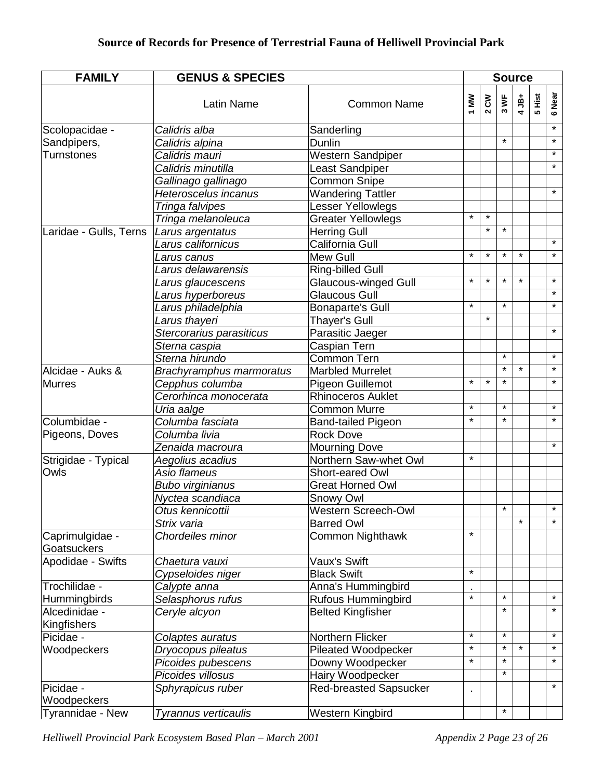| <b>FAMILY</b>                  | <b>GENUS &amp; SPECIES</b> |                               |         | <b>Source</b> |                            |         |        |         |
|--------------------------------|----------------------------|-------------------------------|---------|---------------|----------------------------|---------|--------|---------|
|                                | <b>Latin Name</b>          | <b>Common Name</b>            | 1 MW    | $2^{\circ}$   | $\blacktriangleright$<br>ო | $4JB+$  | 5 Hist | 6 Near  |
| Scolopacidae -                 | Calidris alba              | Sanderling                    |         |               |                            |         |        | $\star$ |
| Sandpipers,                    | Calidris alpina            | Dunlin                        |         |               | $\star$                    |         |        | $\star$ |
| <b>Turnstones</b>              | Calidris mauri             | Western Sandpiper             |         |               |                            |         |        | $\star$ |
|                                | Calidris minutilla         | Least Sandpiper               |         |               |                            |         |        | $\star$ |
|                                | Gallinago gallinago        | <b>Common Snipe</b>           |         |               |                            |         |        |         |
|                                | Heteroscelus incanus       | <b>Wandering Tattler</b>      |         |               |                            |         |        | $\star$ |
|                                | Tringa falvipes            | Lesser Yellowlegs             |         |               |                            |         |        |         |
|                                | Tringa melanoleuca         | <b>Greater Yellowlegs</b>     | $\star$ | $\star$       |                            |         |        |         |
| Laridae - Gulls, Terns         | Larus argentatus           | <b>Herring Gull</b>           |         | $\star$       | $\star$                    |         |        |         |
|                                | Larus californicus         | California Gull               |         |               |                            |         |        | $\star$ |
|                                | Larus canus                | Mew Gull                      | $\star$ | $\star$       | $\star$                    | $\star$ |        | $\star$ |
|                                | Larus delawarensis         | Ring-billed Gull              |         |               |                            |         |        |         |
|                                | Larus glaucescens          | <b>Glaucous-winged Gull</b>   | $\star$ | $\star$       | $\star$                    | $\star$ |        | $\star$ |
|                                | Larus hyperboreus          | Glaucous Gull                 |         |               |                            |         |        | $\star$ |
|                                | Larus philadelphia         | <b>Bonaparte's Gull</b>       | $\star$ |               | $\star$                    |         |        | $\star$ |
|                                | Larus thayeri              | Thayer's Gull                 |         | $\star$       |                            |         |        |         |
|                                | Stercorarius parasiticus   | Parasitic Jaeger              |         |               |                            |         |        | $\star$ |
|                                | Sterna caspia              | Caspian Tern                  |         |               |                            |         |        |         |
|                                | Sterna hirundo             | <b>Common Tern</b>            |         |               | $\star$                    |         |        | $\star$ |
| Alcidae - Auks &               | Brachyramphus marmoratus   | <b>Marbled Murrelet</b>       |         |               | $\star$                    | $\star$ |        | $\star$ |
| Murres                         | Cepphus columba            | Pigeon Guillemot              | $\star$ | $\star$       | $\star$                    |         |        | $\star$ |
|                                | Cerorhinca monocerata      | <b>Rhinoceros Auklet</b>      |         |               |                            |         |        |         |
|                                | Uria aalge                 | Common Murre                  | $\star$ |               | $\star$                    |         |        | $\star$ |
| Columbidae -                   | Columba fasciata           | <b>Band-tailed Pigeon</b>     | $\star$ |               | $\star$                    |         |        | $\star$ |
| Pigeons, Doves                 | Columba livia              | <b>Rock Dove</b>              |         |               |                            |         |        |         |
|                                | Zenaida macroura           | <b>Mourning Dove</b>          |         |               |                            |         |        | $\star$ |
| Strigidae - Typical            | Aegolius acadius           | Northern Saw-whet Owl         | $\star$ |               |                            |         |        |         |
| Owls                           | Asio flameus               | Short-eared Owl               |         |               |                            |         |        |         |
|                                | <b>Bubo virginianus</b>    | <b>Great Horned Owl</b>       |         |               |                            |         |        |         |
|                                | Nyctea scandiaca           | Snowy Owl                     |         |               |                            |         |        |         |
|                                | Otus kennicottii           | Western Screech-Owl           |         |               |                            |         |        |         |
|                                | Strix varia                | <b>Barred Owl</b>             |         |               |                            | $\star$ |        | $\star$ |
| Caprimulgidae -<br>Goatsuckers | Chordeiles minor           | <b>Common Nighthawk</b>       | $\star$ |               |                            |         |        |         |
| Apodidae - Swifts              | Chaetura vauxi             | Vaux's Swift                  |         |               |                            |         |        |         |
|                                | Cypseloides niger          | <b>Black Swift</b>            | $\star$ |               |                            |         |        |         |
| Trochilidae -                  | Calypte anna               | Anna's Hummingbird            |         |               |                            |         |        |         |
| <b>Hummingbirds</b>            | Selasphorus rufus          | <b>Rufous Hummingbird</b>     | $\star$ |               | $\star$                    |         |        | $\star$ |
| Alcedinidae -<br>Kingfishers   | Ceryle alcyon              | <b>Belted Kingfisher</b>      |         |               | $\star$                    |         |        | $\star$ |
| Picidae -                      | Colaptes auratus           | Northern Flicker              | $\star$ |               | $\star$                    |         |        | $\star$ |
| Woodpeckers                    | Dryocopus pileatus         | Pileated Woodpecker           | $\star$ |               | $\star$                    | $\star$ |        | $\star$ |
|                                | Picoides pubescens         | Downy Woodpecker              | $\star$ |               | $\star$                    |         |        | $\star$ |
|                                | Picoides villosus          | Hairy Woodpecker              |         |               | $\star$                    |         |        |         |
| Picidae -                      | Sphyrapicus ruber          | <b>Red-breasted Sapsucker</b> |         |               |                            |         |        | $\star$ |
| Woodpeckers                    |                            |                               |         |               |                            |         |        |         |
| Tyrannidae - New               | Tyrannus verticaulis       | Western Kingbird              |         |               | $\star$                    |         |        |         |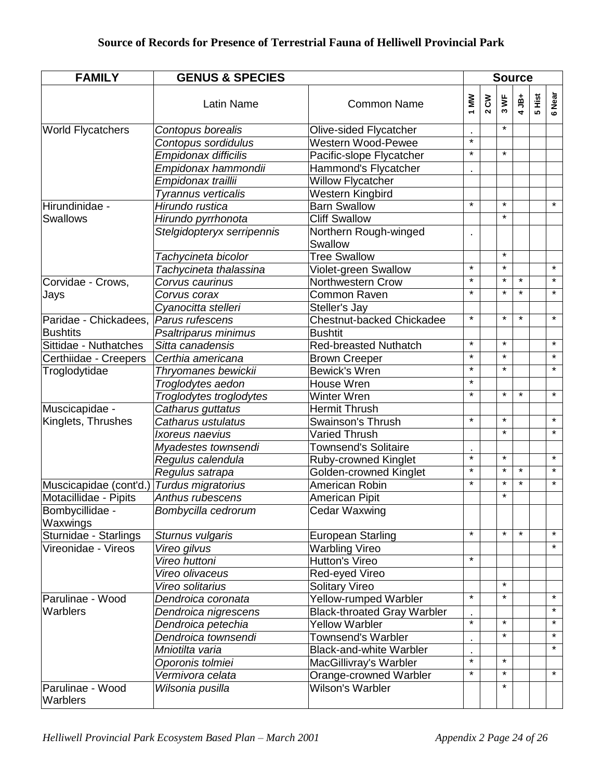| <b>FAMILY</b><br><b>GENUS &amp; SPECIES</b> |                            |                                    |         |       |                           | <b>Source</b> |        |         |  |  |  |  |
|---------------------------------------------|----------------------------|------------------------------------|---------|-------|---------------------------|---------------|--------|---------|--|--|--|--|
|                                             | <b>Latin Name</b>          | <b>Common Name</b>                 | 1 MW    | 2 C W | $\overline{\bullet}$<br>ო | $4JB+$        | 5 Hist | 6 Near  |  |  |  |  |
| <b>World Flycatchers</b>                    | Contopus borealis          | Olive-sided Flycatcher             |         |       | $\star$                   |               |        |         |  |  |  |  |
|                                             | Contopus sordidulus        | Western Wood-Pewee                 | $\star$ |       |                           |               |        |         |  |  |  |  |
|                                             | Empidonax difficilis       | Pacific-slope Flycatcher           | $\star$ |       | $\star$                   |               |        |         |  |  |  |  |
|                                             | Empidonax hammondii        | Hammond's Flycatcher               |         |       |                           |               |        |         |  |  |  |  |
|                                             | Empidonax traillii         | <b>Willow Flycatcher</b>           |         |       |                           |               |        |         |  |  |  |  |
|                                             | Tyrannus verticalis        | <b>Western Kingbird</b>            |         |       |                           |               |        |         |  |  |  |  |
| Hirundinidae -                              | Hirundo rustica            | <b>Barn Swallow</b>                | $\star$ |       | $\star$                   |               |        | $\star$ |  |  |  |  |
| Swallows                                    | Hirundo pyrrhonota         | <b>Cliff Swallow</b>               |         |       | $\star$                   |               |        |         |  |  |  |  |
|                                             | Stelgidopteryx serripennis | Northern Rough-winged<br>Swallow   |         |       |                           |               |        |         |  |  |  |  |
|                                             | Tachycineta bicolor        | <b>Tree Swallow</b>                |         |       | $\star$                   |               |        |         |  |  |  |  |
|                                             | Tachycineta thalassina     | Violet-green Swallow               | $\star$ |       | $\star$                   |               |        | $\star$ |  |  |  |  |
| Corvidae - Crows,                           | Corvus caurinus            | Northwestern Crow                  | $\star$ |       | $\star$                   | $\star$       |        | $\star$ |  |  |  |  |
| Jays                                        | Corvus corax               | Common Raven                       | $\star$ |       | $\star$                   | $\star$       |        | $\star$ |  |  |  |  |
|                                             | Cyanocitta stelleri        | Steller's Jay                      |         |       |                           |               |        |         |  |  |  |  |
| Paridae - Chickadees,                       | Parus rufescens            | Chestnut-backed Chickadee          | $\star$ |       | $\star$                   | $\star$       |        | $\star$ |  |  |  |  |
| <b>Bushtits</b>                             | Psaltriparus minimus       | <b>Bushtit</b>                     |         |       |                           |               |        |         |  |  |  |  |
| Sittidae - Nuthatches                       | Sitta canadensis           | <b>Red-breasted Nuthatch</b>       | $\star$ |       | $\star$                   |               |        | $\star$ |  |  |  |  |
| Certhiidae - Creepers                       | Certhia americana          | <b>Brown Creeper</b>               | $\star$ |       | $\star$                   |               |        | $\star$ |  |  |  |  |
| Troglodytidae                               | Thryomanes bewickii        | <b>Bewick's Wren</b>               | $\star$ |       | $\star$                   |               |        | $\star$ |  |  |  |  |
|                                             | Troglodytes aedon          | House Wren                         | $\star$ |       |                           |               |        |         |  |  |  |  |
|                                             | Troglodytes troglodytes    | <b>Winter Wren</b>                 | $\star$ |       | $\star$                   | $\star$       |        | $\star$ |  |  |  |  |
| Muscicapidae -                              | Catharus guttatus          | <b>Hermit Thrush</b>               |         |       |                           |               |        |         |  |  |  |  |
| Kinglets, Thrushes                          | Catharus ustulatus         | <b>Swainson's Thrush</b>           | $\star$ |       | $\star$                   |               |        | $\star$ |  |  |  |  |
|                                             | Ixoreus naevius            | <b>Varied Thrush</b>               |         |       | $\star$                   |               |        | $\star$ |  |  |  |  |
|                                             | Myadestes townsendi        | <b>Townsend's Solitaire</b>        |         |       |                           |               |        |         |  |  |  |  |
|                                             | Regulus calendula          | <b>Ruby-crowned Kinglet</b>        | $\star$ |       | $\star$                   |               |        | $\star$ |  |  |  |  |
|                                             | Regulus satrapa            | Golden-crowned Kinglet             | $\star$ |       | $\star$                   | $\star$       |        | $\star$ |  |  |  |  |
| Muscicapidae (cont'd.)                      | Turdus migratorius         | American Robin                     | $\star$ |       | $\star$                   | $\star$       |        | $\star$ |  |  |  |  |
| Motacillidae - Pipits                       | Anthus rubescens           | <b>American Pipit</b>              |         |       | $\star$                   |               |        |         |  |  |  |  |
| Bombycillidae -<br>Waxwings                 | Bombycilla cedrorum        | <b>Cedar Waxwing</b>               |         |       |                           |               |        |         |  |  |  |  |
| Sturnidae - Starlings                       | Sturnus vulgaris           | <b>European Starling</b>           | $\star$ |       | $\star$                   | $\star$       |        | $\star$ |  |  |  |  |
| Vireonidae - Vireos                         | Vireo gilvus               | <b>Warbling Vireo</b>              |         |       |                           |               |        | $\star$ |  |  |  |  |
|                                             | Vireo huttoni              | Hutton's Vireo                     | $\star$ |       |                           |               |        |         |  |  |  |  |
|                                             | Vireo olivaceus            | Red-eyed Vireo                     |         |       |                           |               |        |         |  |  |  |  |
|                                             | Vireo solitarius           | <b>Solitary Vireo</b>              |         |       | $\star$                   |               |        |         |  |  |  |  |
| Parulinae - Wood                            | Dendroica coronata         | Yellow-rumped Warbler              | $\star$ |       | $\star$                   |               |        | $\star$ |  |  |  |  |
| Warblers                                    | Dendroica nigrescens       | <b>Black-throated Gray Warbler</b> |         |       |                           |               |        | $\star$ |  |  |  |  |
|                                             | Dendroica petechia         | <b>Yellow Warbler</b>              | $\star$ |       | $\star$                   |               |        | $\star$ |  |  |  |  |
|                                             | Dendroica townsendi        | <b>Townsend's Warbler</b>          |         |       | $\star$                   |               |        | $\star$ |  |  |  |  |
|                                             | Mniotilta varia            | <b>Black-and-white Warbler</b>     |         |       |                           |               |        | $\star$ |  |  |  |  |
|                                             | Oporonis tolmiei           | MacGillivray's Warbler             | $\star$ |       | $\star$                   |               |        |         |  |  |  |  |
|                                             | Vermivora celata           | Orange-crowned Warbler             | $\star$ |       | $\star$                   |               |        | $\star$ |  |  |  |  |
| Parulinae - Wood<br>Warblers                | Wilsonia pusilla           | Wilson's Warbler                   |         |       | $\star$                   |               |        |         |  |  |  |  |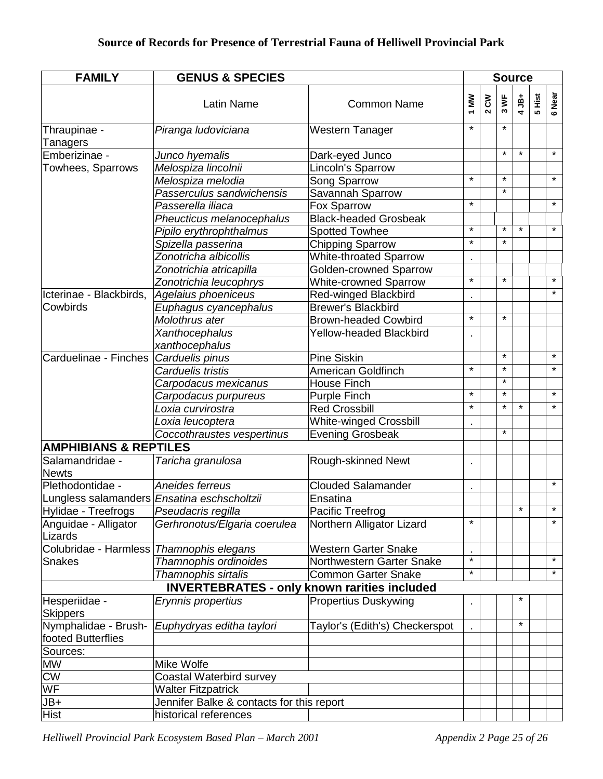| <b>FAMILY</b>                                       | <b>GENUS &amp; SPECIES</b>                |                                |          | <b>Source</b> |                              |         |        |         |  |  |
|-----------------------------------------------------|-------------------------------------------|--------------------------------|----------|---------------|------------------------------|---------|--------|---------|--|--|
|                                                     | <b>Latin Name</b>                         | <b>Common Name</b>             | 1 MW     | 2 C W         | $\overline{\mathbf{s}}$<br>ო | $4JB+$  | 5 Hist | 6 Near  |  |  |
| Thraupinae -                                        | Piranga ludoviciana                       | Western Tanager                | $\star$  |               | $\star$                      |         |        |         |  |  |
| Tanagers                                            |                                           |                                |          |               |                              |         |        |         |  |  |
| Emberizinae -                                       | Junco hyemalis                            | Dark-eyed Junco                |          |               | $\star$                      | $\star$ |        | $\star$ |  |  |
| Towhees, Sparrows                                   | Melospiza lincolnii                       | Lincoln's Sparrow              |          |               |                              |         |        |         |  |  |
|                                                     | Melospiza melodia                         | Song Sparrow                   | $\star$  |               | $\star$                      |         |        | $\star$ |  |  |
|                                                     | Passerculus sandwichensis                 | Savannah Sparrow               |          |               | $\star$                      |         |        |         |  |  |
|                                                     | Passerella iliaca                         | Fox Sparrow                    | $\star$  |               |                              |         |        | $\star$ |  |  |
|                                                     | Pheucticus melanocephalus                 | <b>Black-headed Grosbeak</b>   |          |               |                              |         |        |         |  |  |
|                                                     | Pipilo erythrophthalmus                   | <b>Spotted Towhee</b>          | $\star$  |               | $\star$                      | $\star$ |        | $\star$ |  |  |
|                                                     | Spizella passerina                        | <b>Chipping Sparrow</b>        | $\star$  |               | $\star$                      |         |        |         |  |  |
|                                                     | Zonotricha albicollis                     | <b>White-throated Sparrow</b>  |          |               |                              |         |        |         |  |  |
|                                                     | Zonotrichia atricapilla                   | <b>Golden-crowned Sparrow</b>  |          |               |                              |         |        |         |  |  |
|                                                     | Zonotrichia leucophrys                    | White-crowned Sparrow          | $\star$  |               | $\star$                      |         |        | $\star$ |  |  |
| Icterinae - Blackbirds,                             | Agelaius phoeniceus                       | Red-winged Blackbird           |          |               |                              |         |        | $\star$ |  |  |
| Cowbirds                                            | Euphagus cyancephalus                     | <b>Brewer's Blackbird</b>      |          |               |                              |         |        |         |  |  |
|                                                     | Molothrus ater                            | <b>Brown-headed Cowbird</b>    | $\star$  |               | $\star$                      |         |        |         |  |  |
|                                                     | Xanthocephalus                            | Yellow-headed Blackbird        |          |               |                              |         |        |         |  |  |
|                                                     | xanthocephalus                            |                                |          |               |                              |         |        |         |  |  |
| Carduelinae - Finches                               | Carduelis pinus                           | <b>Pine Siskin</b>             |          |               | $\star$                      |         |        | $\star$ |  |  |
|                                                     | Carduelis tristis                         | American Goldfinch             | $\star$  |               | $\star$                      |         |        | $\star$ |  |  |
|                                                     | Carpodacus mexicanus                      | <b>House Finch</b>             |          |               | $\star$                      |         |        |         |  |  |
|                                                     | Carpodacus purpureus                      | <b>Purple Finch</b>            | $\star$  |               | $\star$                      |         |        | $\star$ |  |  |
|                                                     | Loxia curvirostra                         | <b>Red Crossbill</b>           | $\star$  |               | $\star$                      | $\star$ |        | $\star$ |  |  |
|                                                     | Loxia leucoptera                          | <b>White-winged Crossbill</b>  |          |               |                              |         |        |         |  |  |
|                                                     | Coccothraustes vespertinus                | <b>Evening Grosbeak</b>        |          |               | $\star$                      |         |        |         |  |  |
| <b>AMPHIBIANS &amp; REPTILES</b>                    |                                           |                                |          |               |                              |         |        |         |  |  |
| Salamandridae -<br><b>Newts</b>                     | Taricha granulosa                         | Rough-skinned Newt             |          |               |                              |         |        |         |  |  |
| Plethodontidae -                                    | Aneides ferreus                           | <b>Clouded Salamander</b>      |          |               |                              |         |        | $\star$ |  |  |
| Lungless salamanders Ensatina eschscholtzii         |                                           | Ensatina                       |          |               |                              |         |        |         |  |  |
| Hylidae - Treefrogs                                 | Pseudacris regilla                        | Pacific Treefrog               |          |               |                              |         |        |         |  |  |
| Anguidae - Alligator<br>Lizards                     | Gerhronotus/Elgaria coerulea              | Northern Alligator Lizard      | $^\star$ |               |                              |         |        | $\star$ |  |  |
| Colubridae - Harmless Thamnophis elegans            |                                           | <b>Western Garter Snake</b>    |          |               |                              |         |        |         |  |  |
| <b>Snakes</b>                                       | Thamnophis ordinoides                     | Northwestern Garter Snake      | $\star$  |               |                              |         |        | $\star$ |  |  |
|                                                     | Thamnophis sirtalis                       | <b>Common Garter Snake</b>     | $\star$  |               |                              |         |        | $\star$ |  |  |
| <b>INVERTEBRATES - only known rarities included</b> |                                           |                                |          |               |                              |         |        |         |  |  |
| Hesperiidae -<br><b>Skippers</b>                    | Erynnis propertius                        | <b>Propertius Duskywing</b>    |          |               |                              |         |        |         |  |  |
| Nymphalidae - Brush-                                | Euphydryas editha taylori                 | Taylor's (Edith's) Checkerspot |          |               |                              | $\star$ |        |         |  |  |
| footed Butterflies                                  |                                           |                                |          |               |                              |         |        |         |  |  |
| Sources:                                            |                                           |                                |          |               |                              |         |        |         |  |  |
| <b>MW</b>                                           | Mike Wolfe                                |                                |          |               |                              |         |        |         |  |  |
| <b>CW</b>                                           | Coastal Waterbird survey                  |                                |          |               |                              |         |        |         |  |  |
| <b>WF</b>                                           | <b>Walter Fitzpatrick</b>                 |                                |          |               |                              |         |        |         |  |  |
| JB+                                                 | Jennifer Balke & contacts for this report |                                |          |               |                              |         |        |         |  |  |
| <b>Hist</b>                                         | historical references                     |                                |          |               |                              |         |        |         |  |  |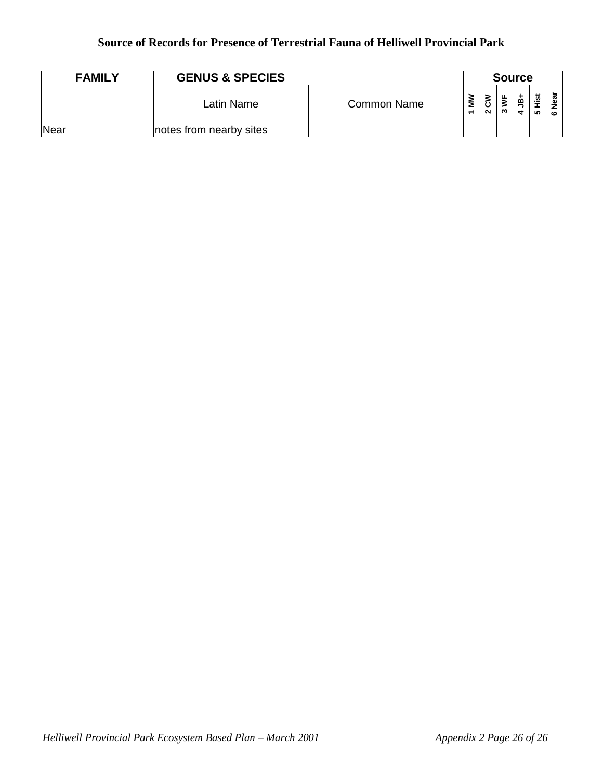| <b>FAMILY</b> | <b>GENUS &amp; SPECIES</b> |             |        | <b>Source</b> |         |        |                         |                 |  |
|---------------|----------------------------|-------------|--------|---------------|---------|--------|-------------------------|-----------------|--|
|               | Latin Name                 | Common Name | Š<br>↽ | 3<br>$\sim$   | ட்<br>∾ | മ<br>₩ | <u>ist</u><br><b>SC</b> | Near<br>$\circ$ |  |
| Near          | notes from nearby sites    |             |        |               |         |        |                         |                 |  |